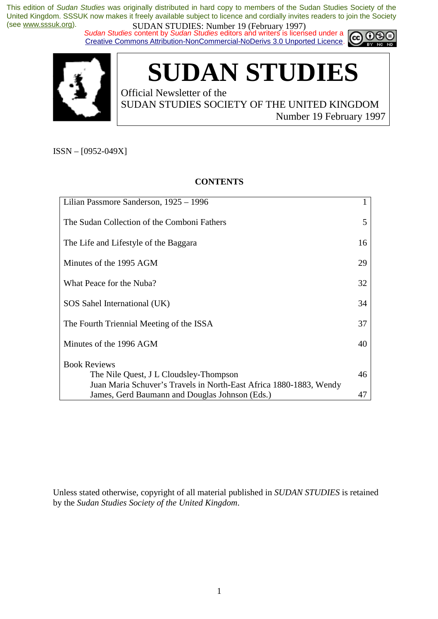*Sudan Studies content by Sudan Studies editors and writers is licensed under a* Creative Commons Attribution-NonCommercial-NoDerivs 3.0 Unported Licence.





**SUDAN STUDIES** 

Official Newsletter of the SUDAN STUDIES SOCIETY OF THE UNITED KINGDOM Number 19 February 1997

ISSN – [0952-049X]

# **CONTENTS**

| Lilian Passmore Sanderson, 1925 - 1996                             |    |
|--------------------------------------------------------------------|----|
| The Sudan Collection of the Comboni Fathers                        | 5  |
| The Life and Lifestyle of the Baggara                              | 16 |
| Minutes of the 1995 AGM                                            | 29 |
| What Peace for the Nuba?                                           | 32 |
| SOS Sahel International (UK)                                       | 34 |
| The Fourth Triennial Meeting of the ISSA                           | 37 |
| Minutes of the 1996 AGM                                            | 40 |
| <b>Book Reviews</b>                                                |    |
| The Nile Quest, J L Cloudsley-Thompson                             | 46 |
| Juan Maria Schuver's Travels in North-East Africa 1880-1883, Wendy |    |
| James, Gerd Baumann and Douglas Johnson (Eds.)                     | 47 |

Unless stated otherwise, copyright of all material published in *SUDAN STUDIES* is retained by the *Sudan Studies Society of the United Kingdom*.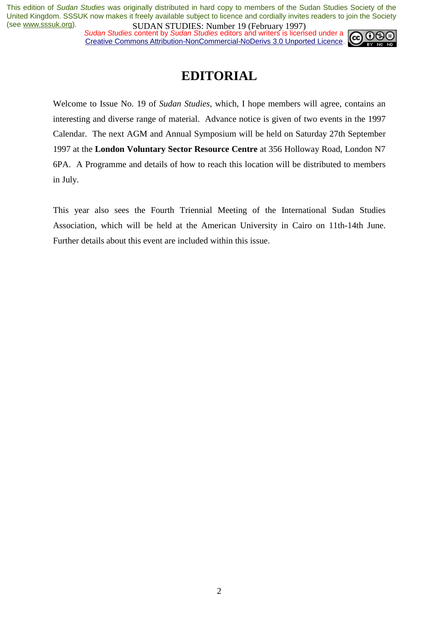*Sudan Studies content by Sudan Studies editors and writers is licensed under a* Creative Commons Attribution-NonCommercial-NoDerivs 3.0 Unported Licence.



# **EDITORIAL**

Welcome to Issue No. 19 of *Sudan Studies*, which, I hope members will agree, contains an interesting and diverse range of material. Advance notice is given of two events in the 1997 Calendar. The next AGM and Annual Symposium will be held on Saturday 27th September 1997 at the **London Voluntary Sector Resource Centre** at 356 Holloway Road, London N7 6PA. A Programme and details of how to reach this location will be distributed to members in July.

This year also sees the Fourth Triennial Meeting of the International Sudan Studies Association, which will be held at the American University in Cairo on 11th-14th June. Further details about this event are included within this issue.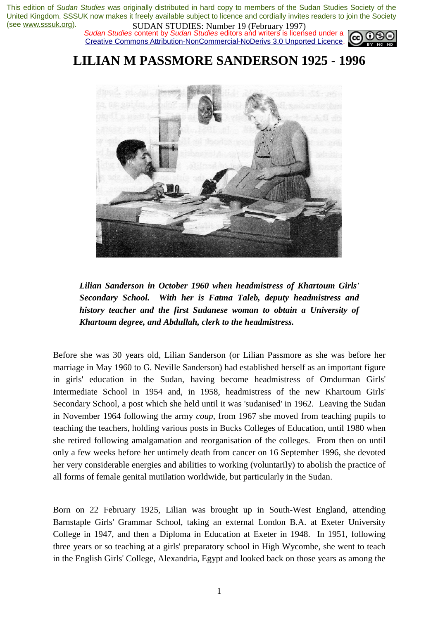*Sudan Studies* content by *Sudan Studies* editors and writers is licensed under a Creative Commons Attribution-NonCommercial-NoDerivs 3.0 Unported Licence.



**LILIAN M PASSMORE SANDERSON 1925 - 1996** 



*Lilian Sanderson in October 1960 when headmistress of Khartoum Girls' Secondary School. With her is Fatma Taleb, deputy headmistress and history teacher and the first Sudanese woman to obtain a University of Khartoum degree, and Abdullah, clerk to the headmistress.* 

Before she was 30 years old, Lilian Sanderson (or Lilian Passmore as she was before her marriage in May 1960 to G. Neville Sanderson) had established herself as an important figure in girls' education in the Sudan, having become headmistress of Omdurman Girls' Intermediate School in 1954 and, in 1958, headmistress of the new Khartoum Girls' Secondary School, a post which she held until it was 'sudanised' in 1962. Leaving the Sudan in November 1964 following the army *coup*, from 1967 she moved from teaching pupils to teaching the teachers, holding various posts in Bucks Colleges of Education, until 1980 when she retired following amalgamation and reorganisation of the colleges. From then on until only a few weeks before her untimely death from cancer on 16 September 1996, she devoted her very considerable energies and abilities to working (voluntarily) to abolish the practice of all forms of female genital mutilation worldwide, but particularly in the Sudan.

Born on 22 February 1925, Lilian was brought up in South-West England, attending Barnstaple Girls' Grammar School, taking an external London B.A. at Exeter University College in 1947, and then a Diploma in Education at Exeter in 1948. In 1951, following three years or so teaching at a girls' preparatory school in High Wycombe, she went to teach in the English Girls' College, Alexandria, Egypt and looked back on those years as among the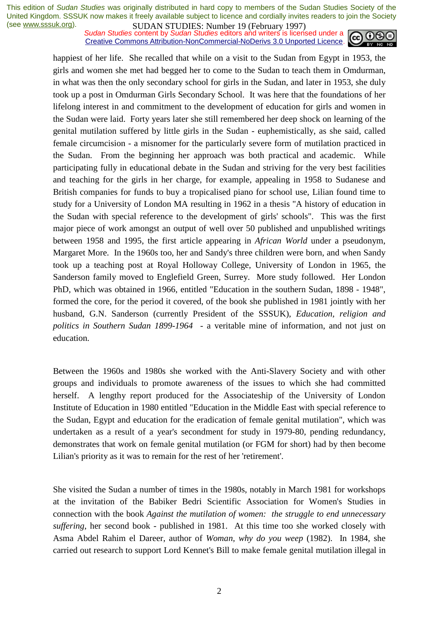**SUDAN STUDIES:** INDIFIELD 17 (February 1777)<br>Sudan Studies content by *Sudan Studies* editors and writers is licensed under a Creative Commons Attribution-NonCommercial-NoDerivs 3.0 Unported Licence.



happiest of her life. She recalled that while on a visit to the Sudan from Egypt in 1953, the girls and women she met had begged her to come to the Sudan to teach them in Omdurman, in what was then the only secondary school for girls in the Sudan, and later in 1953, she duly took up a post in Omdurman Girls Secondary School. It was here that the foundations of her lifelong interest in and commitment to the development of education for girls and women in the Sudan were laid. Forty years later she still remembered her deep shock on learning of the genital mutilation suffered by little girls in the Sudan - euphemistically, as she said, called female circumcision - a misnomer for the particularly severe form of mutilation practiced in the Sudan. From the beginning her approach was both practical and academic. While participating fully in educational debate in the Sudan and striving for the very best facilities and teaching for the girls in her charge, for example, appealing in 1958 to Sudanese and British companies for funds to buy a tropicalised piano for school use, Lilian found time to study for a University of London MA resulting in 1962 in a thesis "A history of education in the Sudan with special reference to the development of girls' schools". This was the first major piece of work amongst an output of well over 50 published and unpublished writings between 1958 and 1995, the first article appearing in *African World* under a pseudonym, Margaret More. In the 1960s too, her and Sandy's three children were born, and when Sandy took up a teaching post at Royal Holloway College, University of London in 1965, the Sanderson family moved to Englefield Green, Surrey. More study followed. Her London PhD, which was obtained in 1966, entitled "Education in the southern Sudan, 1898 - 1948", formed the core, for the period it covered, of the book she published in 1981 jointly with her husband, G.N. Sanderson (currently President of the SSSUK), *Education, religion and politics in Southern Sudan 1899-1964* - a veritable mine of information, and not just on education.

Between the 1960s and 1980s she worked with the Anti-Slavery Society and with other groups and individuals to promote awareness of the issues to which she had committed herself. A lengthy report produced for the Associateship of the University of London Institute of Education in 1980 entitled "Education in the Middle East with special reference to the Sudan, Egypt and education for the eradication of female genital mutilation", which was undertaken as a result of a year's secondment for study in 1979-80, pending redundancy, demonstrates that work on female genital mutilation (or FGM for short) had by then become Lilian's priority as it was to remain for the rest of her 'retirement'.

She visited the Sudan a number of times in the 1980s, notably in March 1981 for workshops at the invitation of the Babiker Bedri Scientific Association for Women's Studies in connection with the book *Against the mutilation of women: the struggle to end unnecessary suffering*, her second book - published in 1981. At this time too she worked closely with Asma Abdel Rahim el Dareer, author of *Woman, why do you weep* (1982). In 1984, she carried out research to support Lord Kennet's Bill to make female genital mutilation illegal in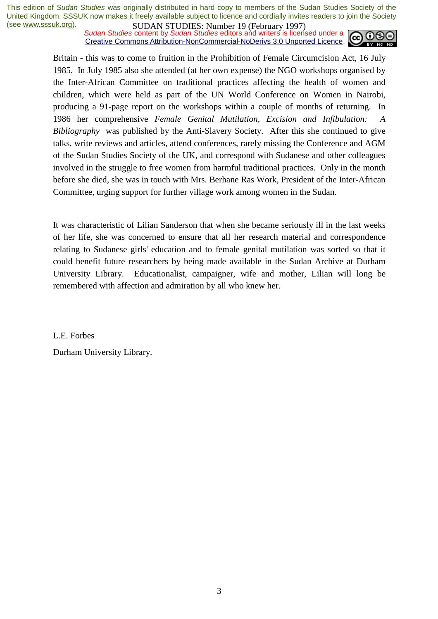**SUDAN STUDIES:** NUTTER 17 (February 1777),<br>Sudan Studies content by Sudan Studies editors and writers is licensed under a Creative Commons Attribution-NonCommercial-NoDerivs 3.0 Unported Licence.



Britain - this was to come to fruition in the Prohibition of Female Circumcision Act, 16 July 1985. In July 1985 also she attended (at her own expense) the NGO workshops organised by the Inter-African Committee on traditional practices affecting the health of women and children, which were held as part of the UN World Conference on Women in Nairobi, producing a 91-page report on the workshops within a couple of months of returning. In 1986 her comprehensive *Female Genital Mutilation, Excision and Infibulation: A Bibliography* was published by the Anti-Slavery Society. After this she continued to give talks, write reviews and articles, attend conferences, rarely missing the Conference and AGM of the Sudan Studies Society of the UK, and correspond with Sudanese and other colleagues involved in the struggle to free women from harmful traditional practices. Only in the month before she died, she was in touch with Mrs. Berhane Ras Work, President of the Inter-African Committee, urging support for further village work among women in the Sudan.

It was characteristic of Lilian Sanderson that when she became seriously ill in the last weeks of her life, she was concerned to ensure that all her research material and correspondence relating to Sudanese girls' education and to female genital mutilation was sorted so that it could benefit future researchers by being made available in the Sudan Archive at Durham University Library. Educationalist, campaigner, wife and mother, Lilian will long be remembered with affection and admiration by all who knew her.

L.E. Forbes

Durham University Library.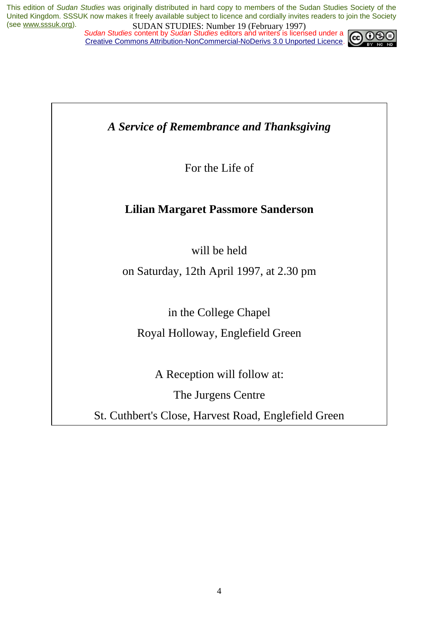*Sudan Studies content by Sudan Studies editors and writers is licensed under a* Creative Commons Attribution-NonCommercial-NoDerivs 3.0 Unported Licence.



*A Service of Remembrance and Thanksgiving* 

For the Life of

# **Lilian Margaret Passmore Sanderson**

will be held

on Saturday, 12th April 1997, at 2.30 pm

in the College Chapel

Royal Holloway, Englefield Green

A Reception will follow at:

The Jurgens Centre

St. Cuthbert's Close, Harvest Road, Englefield Green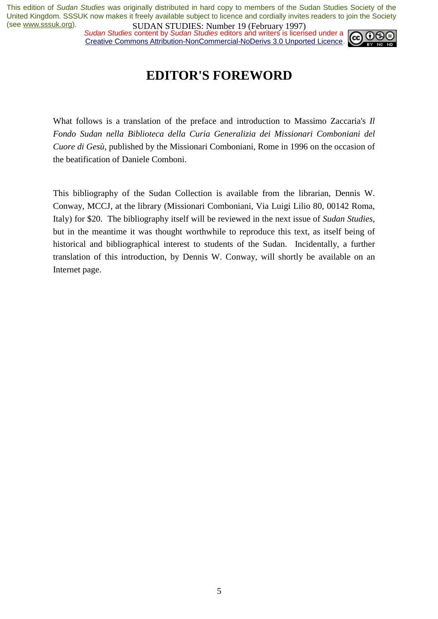*Sudan Studies content by Sudan Studies editors and writers is licensed under a* Creative Commons Attribution-NonCommercial-NoDerivs 3.0 Unported Licence.



# **EDITOR'S FOREWORD**

What follows is a translation of the preface and introduction to Massimo Zaccaria's *Il Fondo Sudan nella Biblioteca della Curia Generalizia dei Missionari Comboniani del Cuore di Gesù*, published by the Missionari Comboniani, Rome in 1996 on the occasion of the beatification of Daniele Comboni.

This bibliography of the Sudan Collection is available from the librarian, Dennis W. Conway, MCCJ, at the library (Missionari Comboniani, Via Luigi Lilio 80, 00142 Roma, Italy) for \$20. The bibliography itself will be reviewed in the next issue of *Sudan Studies*, but in the meantime it was thought worthwhile to reproduce this text, as itself being of historical and bibliographical interest to students of the Sudan. Incidentally, a further translation of this introduction, by Dennis W. Conway, will shortly be available on an Internet page.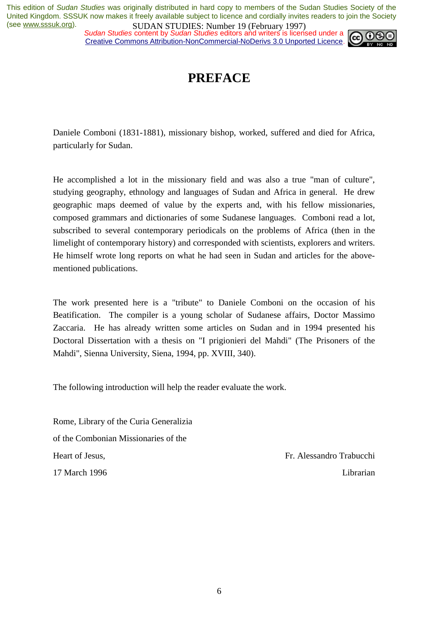*Sudan Studies content by Sudan Studies editors and writers is licensed under a* Creative Commons Attribution-NonCommercial-NoDerivs 3.0 Unported Licence.



# **PREFACE**

Daniele Comboni (1831-1881), missionary bishop, worked, suffered and died for Africa, particularly for Sudan.

He accomplished a lot in the missionary field and was also a true "man of culture", studying geography, ethnology and languages of Sudan and Africa in general. He drew geographic maps deemed of value by the experts and, with his fellow missionaries, composed grammars and dictionaries of some Sudanese languages. Comboni read a lot, subscribed to several contemporary periodicals on the problems of Africa (then in the limelight of contemporary history) and corresponded with scientists, explorers and writers. He himself wrote long reports on what he had seen in Sudan and articles for the abovementioned publications.

The work presented here is a "tribute" to Daniele Comboni on the occasion of his Beatification. The compiler is a young scholar of Sudanese affairs, Doctor Massimo Zaccaria. He has already written some articles on Sudan and in 1994 presented his Doctoral Dissertation with a thesis on "I prigionieri del Mahdi" (The Prisoners of the Mahdi", Sienna University, Siena, 1994, pp. XVIII, 340).

The following introduction will help the reader evaluate the work.

Rome, Library of the Curia Generalizia of the Combonian Missionaries of the Heart of Jesus, 17 March 1996

Fr. Alessandro Trabucchi Librarian

6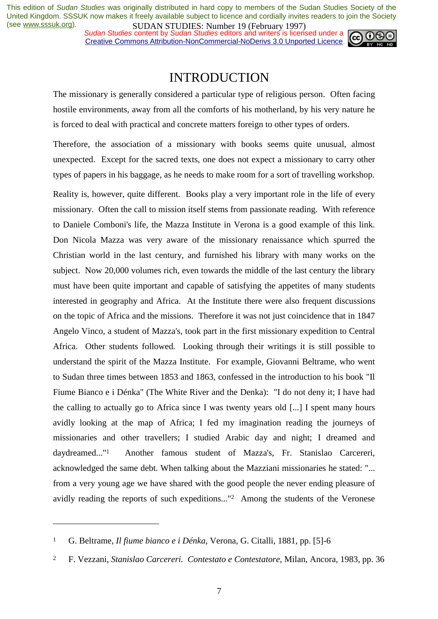*Sudan Studies content by Sudan Studies editors and writers is licensed under a* Creative Commons Attribution-NonCommercial-NoDerivs 3.0 Unported Licence.



# INTRODUCTION

The missionary is generally considered a particular type of religious person. Often facing hostile environments, away from all the comforts of his motherland, by his very nature he is forced to deal with practical and concrete matters foreign to other types of orders.

Therefore, the association of a missionary with books seems quite unusual, almost unexpected. Except for the sacred texts, one does not expect a missionary to carry other types of papers in his baggage, as he needs to make room for a sort of travelling workshop.

Reality is, however, quite different. Books play a very important role in the life of every missionary. Often the call to mission itself stems from passionate reading. With reference to Daniele Comboni's life, the Mazza Institute in Verona is a good example of this link. Don Nicola Mazza was very aware of the missionary renaissance which spurred the Christian world in the last century, and furnished his library with many works on the subject. Now 20,000 volumes rich, even towards the middle of the last century the library must have been quite important and capable of satisfying the appetites of many students interested in geography and Africa. At the Institute there were also frequent discussions on the topic of Africa and the missions. Therefore it was not just coincidence that in 1847 Angelo Vinco, a student of Mazza's, took part in the first missionary expedition to Central Africa. Other students followed. Looking through their writings it is still possible to understand the spirit of the Mazza Institute. For example, Giovanni Beltrame, who went to Sudan three times between 1853 and 1863, confessed in the introduction to his book "Il Fiume Bianco e i Dénka" (The White River and the Denka): "I do not deny it; I have had the calling to actually go to Africa since I was twenty years old [...] I spent many hours avidly looking at the map of Africa; I fed my imagination reading the journeys of missionaries and other travellers; I studied Arabic day and night; I dreamed and daydreamed..."1 Another famous student of Mazza's, Fr. Stanislao Carcereri, acknowledged the same debt. When talking about the Mazziani missionaries he stated: "... from a very young age we have shared with the good people the never ending pleasure of avidly reading the reports of such expeditions..."2 Among the students of the Veronese

<sup>1</sup> G. Beltrame, *Il fiume bianco e i Dénka*, Verona, G. Citalli, 1881, pp. [5]-6

<sup>2</sup> F. Vezzani, *Stanislao Carcereri. Contestato e Contestatore*, Milan, Ancora, 1983, pp. 36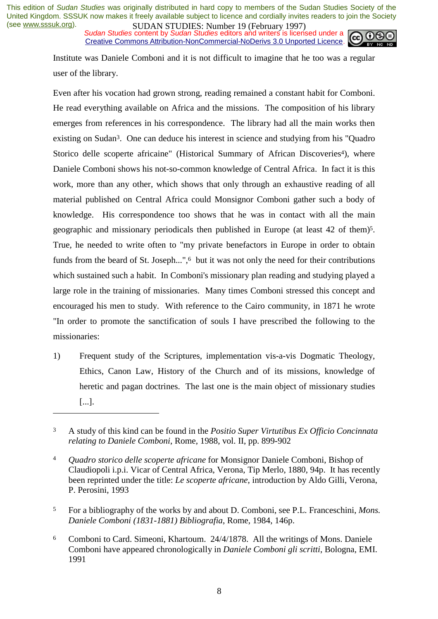*Sudan Studies content by Sudan Studies editors and writers is licensed under a* Creative Commons Attribution-NonCommercial-NoDerivs 3.0 Unported Licence.



Institute was Daniele Comboni and it is not difficult to imagine that he too was a regular user of the library.

Even after his vocation had grown strong, reading remained a constant habit for Comboni. He read everything available on Africa and the missions. The composition of his library emerges from references in his correspondence. The library had all the main works then existing on Sudan3. One can deduce his interest in science and studying from his "Quadro Storico delle scoperte africaine" (Historical Summary of African Discoveries<sup>4</sup>), where Daniele Comboni shows his not-so-common knowledge of Central Africa. In fact it is this work, more than any other, which shows that only through an exhaustive reading of all material published on Central Africa could Monsignor Comboni gather such a body of knowledge. His correspondence too shows that he was in contact with all the main geographic and missionary periodicals then published in Europe (at least 42 of them)5. True, he needed to write often to "my private benefactors in Europe in order to obtain funds from the beard of St. Joseph...",<sup>6</sup> but it was not only the need for their contributions which sustained such a habit. In Comboni's missionary plan reading and studying played a large role in the training of missionaries. Many times Comboni stressed this concept and encouraged his men to study. With reference to the Cairo community, in 1871 he wrote "In order to promote the sanctification of souls I have prescribed the following to the missionaries:

1) Frequent study of the Scriptures, implementation vis-a-vis Dogmatic Theology, Ethics, Canon Law, History of the Church and of its missions, knowledge of heretic and pagan doctrines. The last one is the main object of missionary studies [...].

- 5 For a bibliography of the works by and about D. Comboni, see P.L. Franceschini, *Mons. Daniele Comboni (1831-1881) Bibliografia*, Rome, 1984, 146p.
- 6 Comboni to Card. Simeoni, Khartoum. 24/4/1878. All the writings of Mons. Daniele Comboni have appeared chronologically in *Daniele Comboni gli scritti*, Bologna, EMI. 1991

<sup>3</sup> A study of this kind can be found in the *Positio Super Virtutibus Ex Officio Concinnata relating to Daniele Comboni*, Rome, 1988, vol. II, pp. 899-902

<sup>4</sup> *Quadro storico delle scoperte africane* for Monsignor Daniele Comboni, Bishop of Claudiopoli i.p.i. Vicar of Central Africa, Verona, Tip Merlo, 1880, 94p. It has recently been reprinted under the title: *Le scoperte africane*, introduction by Aldo Gilli, Verona, P. Perosini, 1993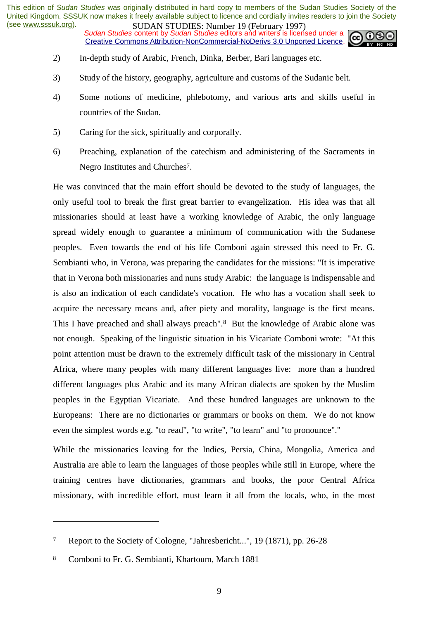*Sudan Studies content by Sudan Studies editors and writers is licensed under a* Creative Commons Attribution-NonCommercial-NoDerivs 3.0 Unported Licence.



- 2) In-depth study of Arabic, French, Dinka, Berber, Bari languages etc.
- 3) Study of the history, geography, agriculture and customs of the Sudanic belt.
- 4) Some notions of medicine, phlebotomy, and various arts and skills useful in countries of the Sudan.
- 5) Caring for the sick, spiritually and corporally.
- 6) Preaching, explanation of the catechism and administering of the Sacraments in Negro Institutes and Churches7.

He was convinced that the main effort should be devoted to the study of languages, the only useful tool to break the first great barrier to evangelization. His idea was that all missionaries should at least have a working knowledge of Arabic, the only language spread widely enough to guarantee a minimum of communication with the Sudanese peoples. Even towards the end of his life Comboni again stressed this need to Fr. G. Sembianti who, in Verona, was preparing the candidates for the missions: "It is imperative that in Verona both missionaries and nuns study Arabic: the language is indispensable and is also an indication of each candidate's vocation. He who has a vocation shall seek to acquire the necessary means and, after piety and morality, language is the first means. This I have preached and shall always preach".8 But the knowledge of Arabic alone was not enough. Speaking of the linguistic situation in his Vicariate Comboni wrote: "At this point attention must be drawn to the extremely difficult task of the missionary in Central Africa, where many peoples with many different languages live: more than a hundred different languages plus Arabic and its many African dialects are spoken by the Muslim peoples in the Egyptian Vicariate. And these hundred languages are unknown to the Europeans: There are no dictionaries or grammars or books on them. We do not know even the simplest words e.g. "to read", "to write", "to learn" and "to pronounce"."

While the missionaries leaving for the Indies, Persia, China, Mongolia, America and Australia are able to learn the languages of those peoples while still in Europe, where the training centres have dictionaries, grammars and books, the poor Central Africa missionary, with incredible effort, must learn it all from the locals, who, in the most

<sup>7</sup> Report to the Society of Cologne, "Jahresbericht...", 19 (1871), pp. 26-28

<sup>8</sup> Comboni to Fr. G. Sembianti, Khartoum, March 1881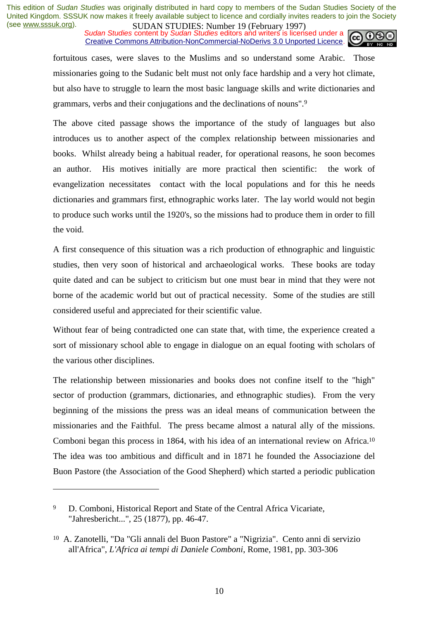*Sudan Studies content by Sudan Studies editors and writers is licensed under a* Creative Commons Attribution-NonCommercial-NoDerivs 3.0 Unported Licence.



fortuitous cases, were slaves to the Muslims and so understand some Arabic. Those missionaries going to the Sudanic belt must not only face hardship and a very hot climate, but also have to struggle to learn the most basic language skills and write dictionaries and grammars, verbs and their conjugations and the declinations of nouns".9

The above cited passage shows the importance of the study of languages but also introduces us to another aspect of the complex relationship between missionaries and books. Whilst already being a habitual reader, for operational reasons, he soon becomes an author. His motives initially are more practical then scientific: the work of evangelization necessitates contact with the local populations and for this he needs dictionaries and grammars first, ethnographic works later. The lay world would not begin to produce such works until the 1920's, so the missions had to produce them in order to fill the void.

A first consequence of this situation was a rich production of ethnographic and linguistic studies, then very soon of historical and archaeological works. These books are today quite dated and can be subject to criticism but one must bear in mind that they were not borne of the academic world but out of practical necessity. Some of the studies are still considered useful and appreciated for their scientific value.

Without fear of being contradicted one can state that, with time, the experience created a sort of missionary school able to engage in dialogue on an equal footing with scholars of the various other disciplines.

The relationship between missionaries and books does not confine itself to the "high" sector of production (grammars, dictionaries, and ethnographic studies). From the very beginning of the missions the press was an ideal means of communication between the missionaries and the Faithful. The press became almost a natural ally of the missions. Comboni began this process in 1864, with his idea of an international review on Africa.10 The idea was too ambitious and difficult and in 1871 he founded the Associazione del Buon Pastore (the Association of the Good Shepherd) which started a periodic publication

<sup>9</sup> D. Comboni, Historical Report and State of the Central Africa Vicariate, "Jahresbericht...", 25 (1877), pp. 46-47.

<sup>10</sup> A. Zanotelli, "Da "Gli annali del Buon Pastore" a "Nigrizia". Cento anni di servizio all'Africa", *L'Africa ai tempi di Daniele Comboni*, Rome, 1981, pp. 303-306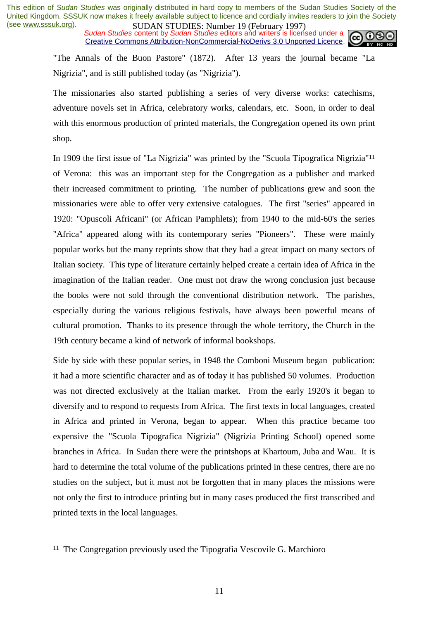*Sudan Studies content by Sudan Studies editors and writers is licensed under a* Creative Commons Attribution-NonCommercial-NoDerivs 3.0 Unported Licence.



"The Annals of the Buon Pastore" (1872). After 13 years the journal became "La Nigrizia", and is still published today (as "Nigrizia").

The missionaries also started publishing a series of very diverse works: catechisms, adventure novels set in Africa, celebratory works, calendars, etc. Soon, in order to deal with this enormous production of printed materials, the Congregation opened its own print shop.

In 1909 the first issue of "La Nigrizia" was printed by the "Scuola Tipografica Nigrizia"11 of Verona: this was an important step for the Congregation as a publisher and marked their increased commitment to printing. The number of publications grew and soon the missionaries were able to offer very extensive catalogues. The first "series" appeared in 1920: "Opuscoli Africani" (or African Pamphlets); from 1940 to the mid-60's the series "Africa" appeared along with its contemporary series "Pioneers". These were mainly popular works but the many reprints show that they had a great impact on many sectors of Italian society. This type of literature certainly helped create a certain idea of Africa in the imagination of the Italian reader. One must not draw the wrong conclusion just because the books were not sold through the conventional distribution network. The parishes, especially during the various religious festivals, have always been powerful means of cultural promotion. Thanks to its presence through the whole territory, the Church in the 19th century became a kind of network of informal bookshops.

Side by side with these popular series, in 1948 the Comboni Museum began publication: it had a more scientific character and as of today it has published 50 volumes. Production was not directed exclusively at the Italian market. From the early 1920's it began to diversify and to respond to requests from Africa. The first texts in local languages, created in Africa and printed in Verona, began to appear. When this practice became too expensive the "Scuola Tipografica Nigrizia" (Nigrizia Printing School) opened some branches in Africa. In Sudan there were the printshops at Khartoum, Juba and Wau. It is hard to determine the total volume of the publications printed in these centres, there are no studies on the subject, but it must not be forgotten that in many places the missions were not only the first to introduce printing but in many cases produced the first transcribed and printed texts in the local languages.

<sup>&</sup>lt;sup>11</sup> The Congregation previously used the Tipografia Vescovile G. Marchioro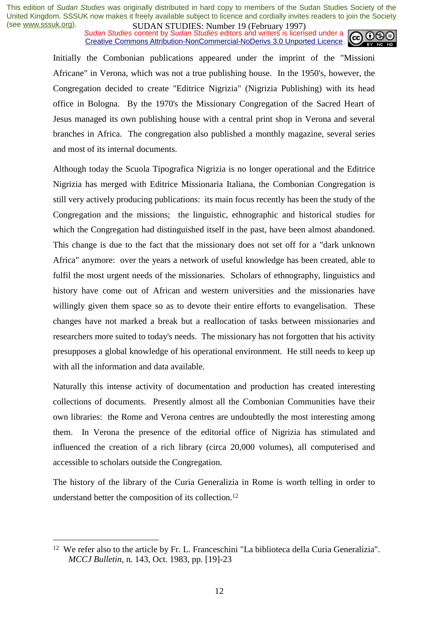*Sudan Studies content by Sudan Studies editors and writers is licensed under a* Creative Commons Attribution-NonCommercial-NoDerivs 3.0 Unported Licence.



Initially the Combonian publications appeared under the imprint of the "Missioni Africane" in Verona, which was not a true publishing house. In the 1950's, however, the Congregation decided to create "Editrice Nigrizia" (Nigrizia Publishing) with its head office in Bologna. By the 1970's the Missionary Congregation of the Sacred Heart of Jesus managed its own publishing house with a central print shop in Verona and several branches in Africa. The congregation also published a monthly magazine, several series and most of its internal documents.

Although today the Scuola Tipografica Nigrizia is no longer operational and the Editrice Nigrizia has merged with Editrice Missionaria Italiana, the Combonian Congregation is still very actively producing publications: its main focus recently has been the study of the Congregation and the missions; the linguistic, ethnographic and historical studies for which the Congregation had distinguished itself in the past, have been almost abandoned. This change is due to the fact that the missionary does not set off for a "dark unknown Africa" anymore: over the years a network of useful knowledge has been created, able to fulfil the most urgent needs of the missionaries. Scholars of ethnography, linguistics and history have come out of African and western universities and the missionaries have willingly given them space so as to devote their entire efforts to evangelisation. These changes have not marked a break but a reallocation of tasks between missionaries and researchers more suited to today's needs. The missionary has not forgotten that his activity presupposes a global knowledge of his operational environment. He still needs to keep up with all the information and data available.

Naturally this intense activity of documentation and production has created interesting collections of documents. Presently almost all the Combonian Communities have their own libraries: the Rome and Verona centres are undoubtedly the most interesting among them. In Verona the presence of the editorial office of Nigrizia has stimulated and influenced the creation of a rich library (circa 20,000 volumes), all computerised and accessible to scholars outside the Congregation.

The history of the library of the Curia Generalizia in Rome is worth telling in order to understand better the composition of its collection.12

<sup>12</sup> We refer also to the article by Fr. L. Franceschini "La biblioteca della Curia Generalizia". *MCCJ Bulletin*, n. 143, Oct. 1983, pp. [19]-23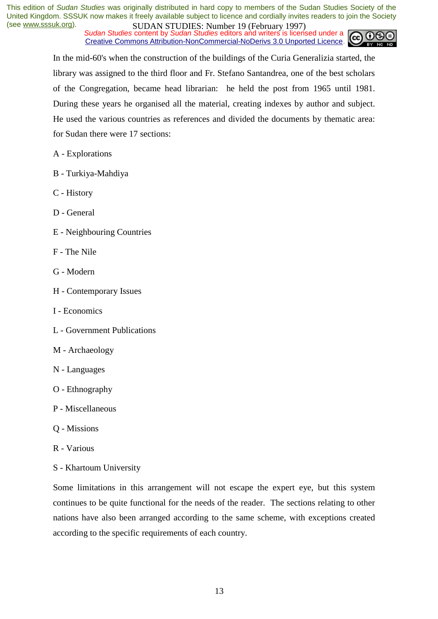*Sudan Studies content by Sudan Studies editors and writers is licensed under a* Creative Commons Attribution-NonCommercial-NoDerivs 3.0 Unported Licence.



In the mid-60's when the construction of the buildings of the Curia Generalizia started, the library was assigned to the third floor and Fr. Stefano Santandrea, one of the best scholars of the Congregation, became head librarian: he held the post from 1965 until 1981. During these years he organised all the material, creating indexes by author and subject. He used the various countries as references and divided the documents by thematic area: for Sudan there were 17 sections:

- A Explorations
- B Turkiya-Mahdiya
- C History
- D General
- E Neighbouring Countries
- F The Nile
- G Modern
- H Contemporary Issues
- I Economics
- L Government Publications
- M Archaeology
- N Languages
- O Ethnography
- P Miscellaneous
- Q Missions
- R Various
- S Khartoum University

Some limitations in this arrangement will not escape the expert eye, but this system continues to be quite functional for the needs of the reader. The sections relating to other nations have also been arranged according to the same scheme, with exceptions created according to the specific requirements of each country.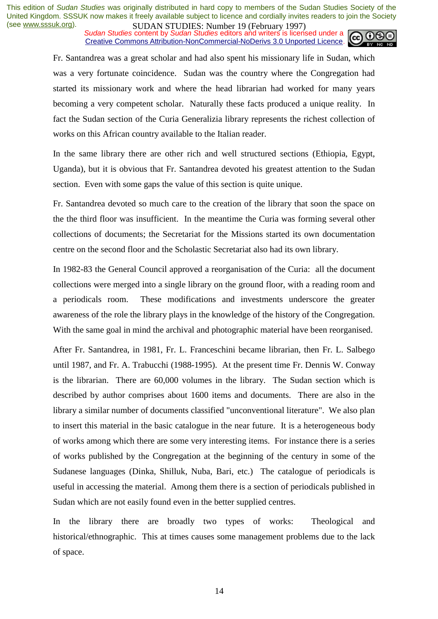*Sudan Studies content by Sudan Studies editors and writers is licensed under a* Creative Commons Attribution-NonCommercial-NoDerivs 3.0 Unported Licence.



Fr. Santandrea was a great scholar and had also spent his missionary life in Sudan, which was a very fortunate coincidence. Sudan was the country where the Congregation had started its missionary work and where the head librarian had worked for many years becoming a very competent scholar. Naturally these facts produced a unique reality. In fact the Sudan section of the Curia Generalizia library represents the richest collection of works on this African country available to the Italian reader.

In the same library there are other rich and well structured sections (Ethiopia, Egypt, Uganda), but it is obvious that Fr. Santandrea devoted his greatest attention to the Sudan section. Even with some gaps the value of this section is quite unique.

Fr. Santandrea devoted so much care to the creation of the library that soon the space on the the third floor was insufficient. In the meantime the Curia was forming several other collections of documents; the Secretariat for the Missions started its own documentation centre on the second floor and the Scholastic Secretariat also had its own library.

In 1982-83 the General Council approved a reorganisation of the Curia: all the document collections were merged into a single library on the ground floor, with a reading room and a periodicals room. These modifications and investments underscore the greater awareness of the role the library plays in the knowledge of the history of the Congregation. With the same goal in mind the archival and photographic material have been reorganised.

After Fr. Santandrea, in 1981, Fr. L. Franceschini became librarian, then Fr. L. Salbego until 1987, and Fr. A. Trabucchi (1988-1995). At the present time Fr. Dennis W. Conway is the librarian. There are 60,000 volumes in the library. The Sudan section which is described by author comprises about 1600 items and documents. There are also in the library a similar number of documents classified "unconventional literature". We also plan to insert this material in the basic catalogue in the near future. It is a heterogeneous body of works among which there are some very interesting items. For instance there is a series of works published by the Congregation at the beginning of the century in some of the Sudanese languages (Dinka, Shilluk, Nuba, Bari, etc.) The catalogue of periodicals is useful in accessing the material. Among them there is a section of periodicals published in Sudan which are not easily found even in the better supplied centres.

In the library there are broadly two types of works: Theological and historical/ethnographic. This at times causes some management problems due to the lack of space.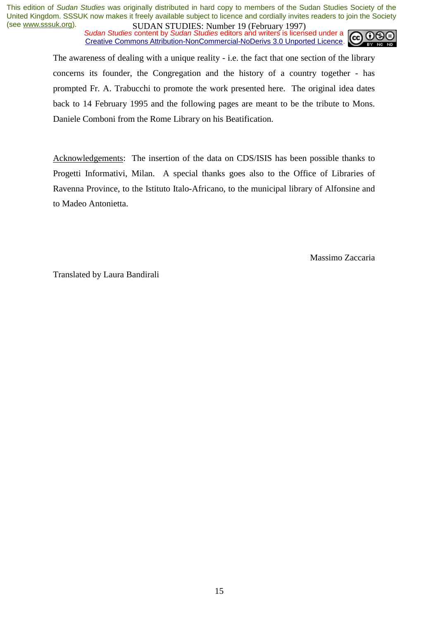*Sudan Studies content by Sudan Studies editors and writers is licensed under a* Creative Commons Attribution-NonCommercial-NoDerivs 3.0 Unported Licence.



The awareness of dealing with a unique reality - i.e. the fact that one section of the library concerns its founder, the Congregation and the history of a country together - has prompted Fr. A. Trabucchi to promote the work presented here. The original idea dates back to 14 February 1995 and the following pages are meant to be the tribute to Mons. Daniele Comboni from the Rome Library on his Beatification.

Acknowledgements: The insertion of the data on CDS/ISIS has been possible thanks to Progetti Informativi, Milan. A special thanks goes also to the Office of Libraries of Ravenna Province, to the Istituto Italo-Africano, to the municipal library of Alfonsine and to Madeo Antonietta.

Massimo Zaccaria

Translated by Laura Bandirali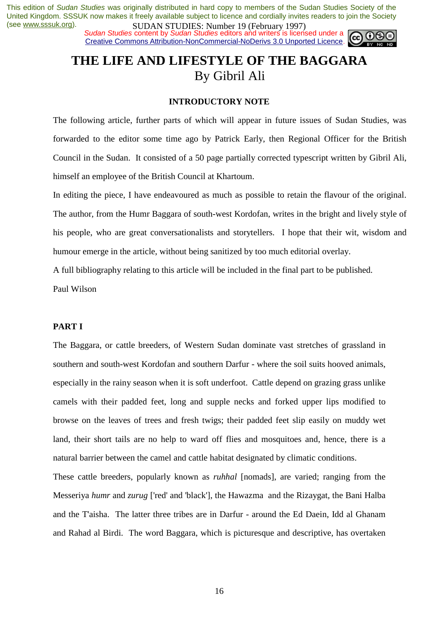*Sudan Studies* content by *Sudan Studies* editors and writers is licensed under a Creative Commons Attribution-NonCommercial-NoDerivs 3.0 Unported Licence.



# **THE LIFE AND LIFESTYLE OF THE BAGGARA**  By Gibril Ali

### **INTRODUCTORY NOTE**

The following article, further parts of which will appear in future issues of Sudan Studies, was forwarded to the editor some time ago by Patrick Early, then Regional Officer for the British Council in the Sudan. It consisted of a 50 page partially corrected typescript written by Gibril Ali, himself an employee of the British Council at Khartoum.

In editing the piece, I have endeavoured as much as possible to retain the flavour of the original. The author, from the Humr Baggara of south-west Kordofan, writes in the bright and lively style of his people, who are great conversationalists and storytellers. I hope that their wit, wisdom and humour emerge in the article, without being sanitized by too much editorial overlay.

A full bibliography relating to this article will be included in the final part to be published.

Paul Wilson

### **PART I**

The Baggara, or cattle breeders, of Western Sudan dominate vast stretches of grassland in southern and south-west Kordofan and southern Darfur - where the soil suits hooved animals, especially in the rainy season when it is soft underfoot. Cattle depend on grazing grass unlike camels with their padded feet, long and supple necks and forked upper lips modified to browse on the leaves of trees and fresh twigs; their padded feet slip easily on muddy wet land, their short tails are no help to ward off flies and mosquitoes and, hence, there is a natural barrier between the camel and cattle habitat designated by climatic conditions.

These cattle breeders, popularly known as *ruhhal* [nomads], are varied; ranging from the Messeriya *humr* and *zurug* ['red' and 'black'], the Hawazma and the Rizaygat, the Bani Halba and the T'aisha. The latter three tribes are in Darfur - around the Ed Daein, Idd al Ghanam and Rahad al Birdi. The word Baggara, which is picturesque and descriptive, has overtaken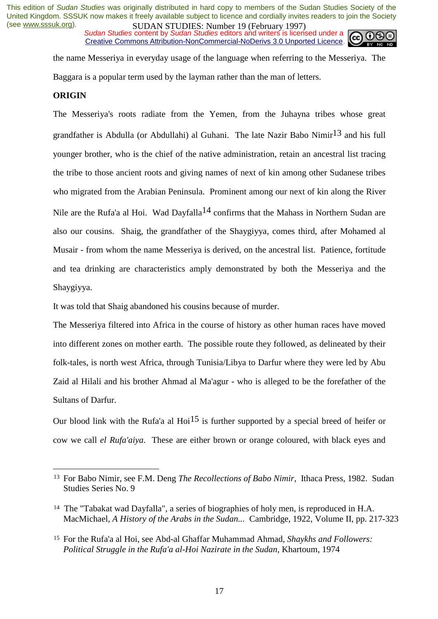*Sudan Studies content by Sudan Studies editors and writers is licensed under a* Creative Commons Attribution-NonCommercial-NoDerivs 3.0 Unported Licence.



the name Messeriya in everyday usage of the language when referring to the Messeriya. The Baggara is a popular term used by the layman rather than the man of letters.

#### **ORIGIN**

 $\overline{a}$ 

The Messeriya's roots radiate from the Yemen, from the Juhayna tribes whose great grandfather is Abdulla (or Abdullahi) al Guhani. The late Nazir Babo Nimir<sup>13</sup> and his full younger brother, who is the chief of the native administration, retain an ancestral list tracing the tribe to those ancient roots and giving names of next of kin among other Sudanese tribes who migrated from the Arabian Peninsula. Prominent among our next of kin along the River Nile are the Rufa'a al Hoi. Wad Dayfalla<sup>14</sup> confirms that the Mahass in Northern Sudan are also our cousins. Shaig, the grandfather of the Shaygiyya, comes third, after Mohamed al Musair - from whom the name Messeriya is derived, on the ancestral list. Patience, fortitude and tea drinking are characteristics amply demonstrated by both the Messeriya and the Shaygiyya.

It was told that Shaig abandoned his cousins because of murder.

The Messeriya filtered into Africa in the course of history as other human races have moved into different zones on mother earth. The possible route they followed, as delineated by their folk-tales, is north west Africa, through Tunisia/Libya to Darfur where they were led by Abu Zaid al Hilali and his brother Ahmad al Ma'agur - who is alleged to be the forefather of the Sultans of Darfur.

Our blood link with the Rufa'a al Hoi<sup>15</sup> is further supported by a special breed of heifer or cow we call *el Rufa'aiya*. These are either brown or orange coloured, with black eyes and

<sup>13</sup> For Babo Nimir, see F.M. Deng *The Recollections of Babo Nimir,* Ithaca Press, 1982. Sudan Studies Series No. 9

<sup>14</sup> The "Tabakat wad Dayfalla", a series of biographies of holy men, is reproduced in H.A. MacMichael, *A History of the Arabs in the Sudan...* Cambridge, 1922, Volume II, pp. 217-323

<sup>15</sup> For the Rufa'a al Hoi, see Abd-al Ghaffar Muhammad Ahmad, *Shaykhs and Followers: Political Struggle in the Rufa'a al-Hoi Nazirate in the Sudan*, Khartoum, 1974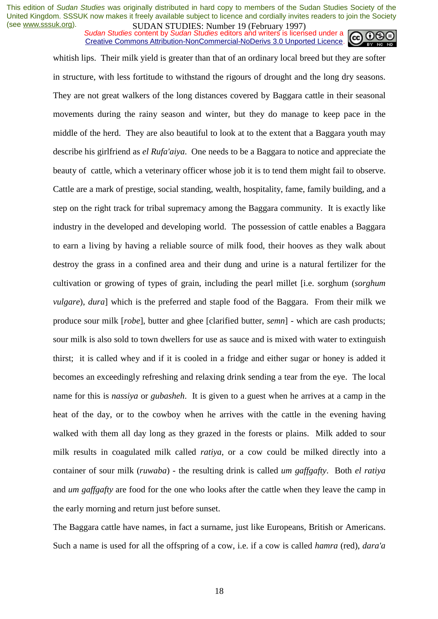*Sudan Studies content by Sudan Studies editors and writers is licensed under a* Creative Commons Attribution-NonCommercial-NoDerivs 3.0 Unported Licence.



whitish lips. Their milk yield is greater than that of an ordinary local breed but they are softer in structure, with less fortitude to withstand the rigours of drought and the long dry seasons. They are not great walkers of the long distances covered by Baggara cattle in their seasonal movements during the rainy season and winter, but they do manage to keep pace in the middle of the herd. They are also beautiful to look at to the extent that a Baggara youth may describe his girlfriend as *el Rufa'aiya*. One needs to be a Baggara to notice and appreciate the beauty of cattle, which a veterinary officer whose job it is to tend them might fail to observe. Cattle are a mark of prestige, social standing, wealth, hospitality, fame, family building, and a step on the right track for tribal supremacy among the Baggara community. It is exactly like industry in the developed and developing world. The possession of cattle enables a Baggara to earn a living by having a reliable source of milk food, their hooves as they walk about destroy the grass in a confined area and their dung and urine is a natural fertilizer for the cultivation or growing of types of grain, including the pearl millet [i.e. sorghum (*sorghum vulgare*), *dura*] which is the preferred and staple food of the Baggara. From their milk we produce sour milk [*robe*], butter and ghee [clarified butter, *semn*] - which are cash products; sour milk is also sold to town dwellers for use as sauce and is mixed with water to extinguish thirst; it is called whey and if it is cooled in a fridge and either sugar or honey is added it becomes an exceedingly refreshing and relaxing drink sending a tear from the eye. The local name for this is *nassiya* or *gubasheh*. It is given to a guest when he arrives at a camp in the heat of the day, or to the cowboy when he arrives with the cattle in the evening having walked with them all day long as they grazed in the forests or plains. Milk added to sour milk results in coagulated milk called *ratiya*, or a cow could be milked directly into a container of sour milk (*ruwaba*) - the resulting drink is called *um gaffgafty*. Both *el ratiya* and *um gaffgafty* are food for the one who looks after the cattle when they leave the camp in the early morning and return just before sunset.

The Baggara cattle have names, in fact a surname, just like Europeans, British or Americans. Such a name is used for all the offspring of a cow, i.e. if a cow is called *hamra* (red), *dara'a*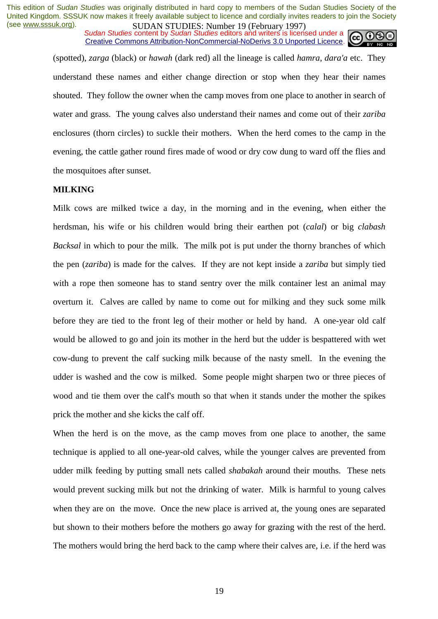*Sudan Studies content by Sudan Studies editors and writers is licensed under a* Creative Commons Attribution-NonCommercial-NoDerivs 3.0 Unported Licence.



(spotted), *zarga* (black) or *hawah* (dark red) all the lineage is called *hamra*, *dara'a* etc. They understand these names and either change direction or stop when they hear their names shouted. They follow the owner when the camp moves from one place to another in search of water and grass. The young calves also understand their names and come out of their *zariba* enclosures (thorn circles) to suckle their mothers. When the herd comes to the camp in the evening, the cattle gather round fires made of wood or dry cow dung to ward off the flies and the mosquitoes after sunset.

#### **MILKING**

Milk cows are milked twice a day, in the morning and in the evening, when either the herdsman, his wife or his children would bring their earthen pot (*calal*) or big *clabash Backsal* in which to pour the milk. The milk pot is put under the thorny branches of which the pen (*zariba*) is made for the calves. If they are not kept inside a *zariba* but simply tied with a rope then someone has to stand sentry over the milk container lest an animal may overturn it. Calves are called by name to come out for milking and they suck some milk before they are tied to the front leg of their mother or held by hand. A one-year old calf would be allowed to go and join its mother in the herd but the udder is bespattered with wet cow-dung to prevent the calf sucking milk because of the nasty smell. In the evening the udder is washed and the cow is milked. Some people might sharpen two or three pieces of wood and tie them over the calf's mouth so that when it stands under the mother the spikes prick the mother and she kicks the calf off.

When the herd is on the move, as the camp moves from one place to another, the same technique is applied to all one-year-old calves, while the younger calves are prevented from udder milk feeding by putting small nets called *shabakah* around their mouths. These nets would prevent sucking milk but not the drinking of water. Milk is harmful to young calves when they are on the move. Once the new place is arrived at, the young ones are separated but shown to their mothers before the mothers go away for grazing with the rest of the herd. The mothers would bring the herd back to the camp where their calves are, i.e. if the herd was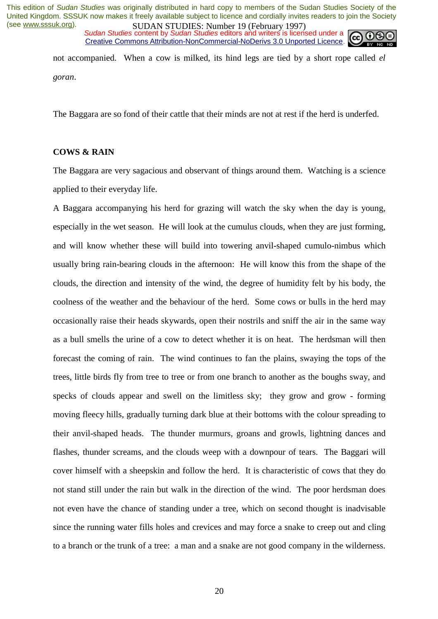*Sudan Studies content by Sudan Studies editors and writers is licensed under a* Creative Commons Attribution-NonCommercial-NoDerivs 3.0 Unported Licence.



not accompanied. When a cow is milked, its hind legs are tied by a short rope called *el goran*.

The Baggara are so fond of their cattle that their minds are not at rest if the herd is underfed.

#### **COWS & RAIN**

The Baggara are very sagacious and observant of things around them. Watching is a science applied to their everyday life.

A Baggara accompanying his herd for grazing will watch the sky when the day is young, especially in the wet season. He will look at the cumulus clouds, when they are just forming, and will know whether these will build into towering anvil-shaped cumulo-nimbus which usually bring rain-bearing clouds in the afternoon: He will know this from the shape of the clouds, the direction and intensity of the wind, the degree of humidity felt by his body, the coolness of the weather and the behaviour of the herd. Some cows or bulls in the herd may occasionally raise their heads skywards, open their nostrils and sniff the air in the same way as a bull smells the urine of a cow to detect whether it is on heat. The herdsman will then forecast the coming of rain. The wind continues to fan the plains, swaying the tops of the trees, little birds fly from tree to tree or from one branch to another as the boughs sway, and specks of clouds appear and swell on the limitless sky; they grow and grow - forming moving fleecy hills, gradually turning dark blue at their bottoms with the colour spreading to their anvil-shaped heads. The thunder murmurs, groans and growls, lightning dances and flashes, thunder screams, and the clouds weep with a downpour of tears. The Baggari will cover himself with a sheepskin and follow the herd. It is characteristic of cows that they do not stand still under the rain but walk in the direction of the wind. The poor herdsman does not even have the chance of standing under a tree, which on second thought is inadvisable since the running water fills holes and crevices and may force a snake to creep out and cling to a branch or the trunk of a tree: a man and a snake are not good company in the wilderness.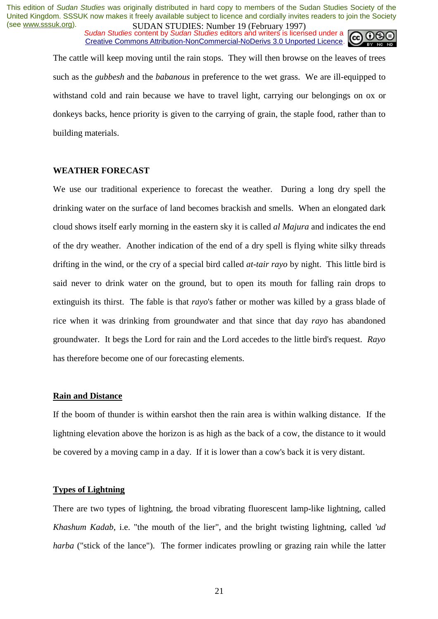*Sudan Studies content by Sudan Studies editors and writers is licensed under a* Creative Commons Attribution-NonCommercial-NoDerivs 3.0 Unported Licence.



The cattle will keep moving until the rain stops. They will then browse on the leaves of trees such as the *gubbesh* and the *babanous* in preference to the wet grass. We are ill-equipped to withstand cold and rain because we have to travel light, carrying our belongings on ox or donkeys backs, hence priority is given to the carrying of grain, the staple food, rather than to building materials.

#### **WEATHER FORECAST**

We use our traditional experience to forecast the weather. During a long dry spell the drinking water on the surface of land becomes brackish and smells. When an elongated dark cloud shows itself early morning in the eastern sky it is called *al Majura* and indicates the end of the dry weather. Another indication of the end of a dry spell is flying white silky threads drifting in the wind, or the cry of a special bird called *at-tair rayo* by night. This little bird is said never to drink water on the ground, but to open its mouth for falling rain drops to extinguish its thirst. The fable is that *rayo*'s father or mother was killed by a grass blade of rice when it was drinking from groundwater and that since that day *rayo* has abandoned groundwater. It begs the Lord for rain and the Lord accedes to the little bird's request. *Rayo* has therefore become one of our forecasting elements.

#### **Rain and Distance**

If the boom of thunder is within earshot then the rain area is within walking distance. If the lightning elevation above the horizon is as high as the back of a cow, the distance to it would be covered by a moving camp in a day. If it is lower than a cow's back it is very distant.

#### **Types of Lightning**

There are two types of lightning, the broad vibrating fluorescent lamp-like lightning, called *Khashum Kadab*, i.e. "the mouth of the lier", and the bright twisting lightning, called *'ud harba* ("stick of the lance"). The former indicates prowling or grazing rain while the latter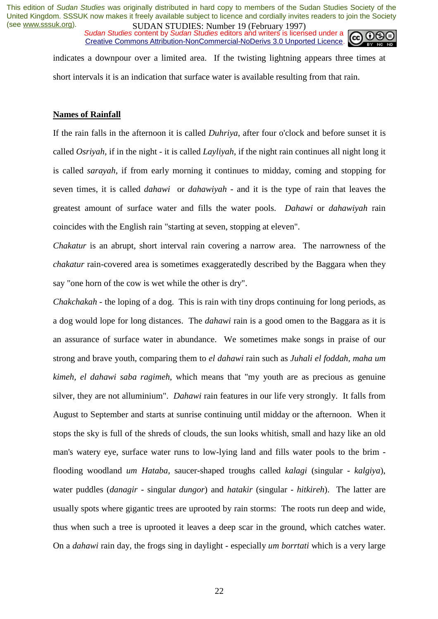*Sudan Studies content by Sudan Studies editors and writers is licensed under a* Creative Commons Attribution-NonCommercial-NoDerivs 3.0 Unported Licence.



indicates a downpour over a limited area. If the twisting lightning appears three times at short intervals it is an indication that surface water is available resulting from that rain.

#### **Names of Rainfall**

If the rain falls in the afternoon it is called *Duhriya*, after four o'clock and before sunset it is called *Osriyah*, if in the night - it is called *Layliyah*, if the night rain continues all night long it is called *sarayah*, if from early morning it continues to midday, coming and stopping for seven times, it is called *dahawi* or *dahawiyah* - and it is the type of rain that leaves the greatest amount of surface water and fills the water pools. *Dahawi* or *dahawiyah* rain coincides with the English rain "starting at seven, stopping at eleven".

*Chakatur* is an abrupt, short interval rain covering a narrow area. The narrowness of the *chakatur* rain-covered area is sometimes exaggeratedly described by the Baggara when they say "one horn of the cow is wet while the other is dry".

*Chakchakah* - the loping of a dog. This is rain with tiny drops continuing for long periods, as a dog would lope for long distances. The *dahawi* rain is a good omen to the Baggara as it is an assurance of surface water in abundance. We sometimes make songs in praise of our strong and brave youth, comparing them to *el dahawi* rain such as *Juhali el foddah, maha um kimeh, el dahawi saba ragimeh*, which means that "my youth are as precious as genuine silver, they are not alluminium". *Dahawi* rain features in our life very strongly. It falls from August to September and starts at sunrise continuing until midday or the afternoon. When it stops the sky is full of the shreds of clouds, the sun looks whitish, small and hazy like an old man's watery eye, surface water runs to low-lying land and fills water pools to the brim flooding woodland *um Hataba*, saucer-shaped troughs called *kalagi* (singular - *kalgiya*), water puddles (*danagir* - singular *dungor*) and *hatakir* (singular - *hitkireh*). The latter are usually spots where gigantic trees are uprooted by rain storms: The roots run deep and wide, thus when such a tree is uprooted it leaves a deep scar in the ground, which catches water. On a *dahawi* rain day, the frogs sing in daylight - especially *um borrtati* which is a very large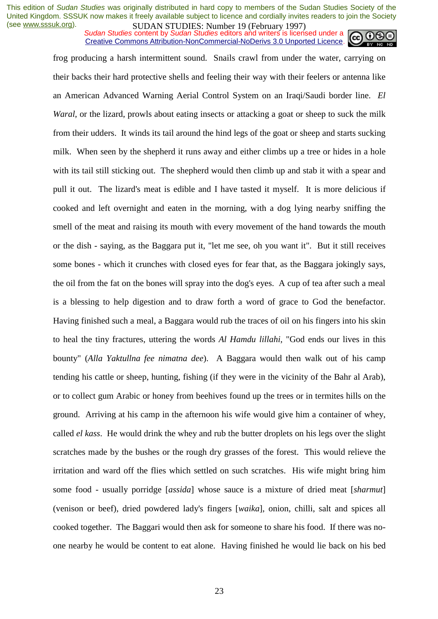*Sudan Studies content by Sudan Studies editors and writers is licensed under a* Creative Commons Attribution-NonCommercial-NoDerivs 3.0 Unported Licence.



frog producing a harsh intermittent sound. Snails crawl from under the water, carrying on their backs their hard protective shells and feeling their way with their feelers or antenna like an American Advanced Warning Aerial Control System on an Iraqi/Saudi border line. *El Waral*, or the lizard, prowls about eating insects or attacking a goat or sheep to suck the milk from their udders. It winds its tail around the hind legs of the goat or sheep and starts sucking milk. When seen by the shepherd it runs away and either climbs up a tree or hides in a hole with its tail still sticking out. The shepherd would then climb up and stab it with a spear and pull it out. The lizard's meat is edible and I have tasted it myself. It is more delicious if cooked and left overnight and eaten in the morning, with a dog lying nearby sniffing the smell of the meat and raising its mouth with every movement of the hand towards the mouth or the dish - saying, as the Baggara put it, "let me see, oh you want it". But it still receives some bones - which it crunches with closed eyes for fear that, as the Baggara jokingly says, the oil from the fat on the bones will spray into the dog's eyes. A cup of tea after such a meal is a blessing to help digestion and to draw forth a word of grace to God the benefactor. Having finished such a meal, a Baggara would rub the traces of oil on his fingers into his skin to heal the tiny fractures, uttering the words *Al Hamdu lillahi*, "God ends our lives in this bounty" (*Alla Yaktullna fee nimatna dee*). A Baggara would then walk out of his camp tending his cattle or sheep, hunting, fishing (if they were in the vicinity of the Bahr al Arab), or to collect gum Arabic or honey from beehives found up the trees or in termites hills on the ground. Arriving at his camp in the afternoon his wife would give him a container of whey, called *el kass*. He would drink the whey and rub the butter droplets on his legs over the slight scratches made by the bushes or the rough dry grasses of the forest. This would relieve the irritation and ward off the flies which settled on such scratches. His wife might bring him some food - usually porridge [*assida*] whose sauce is a mixture of dried meat [*sharmut*] (venison or beef), dried powdered lady's fingers [*waika*], onion, chilli, salt and spices all cooked together. The Baggari would then ask for someone to share his food. If there was noone nearby he would be content to eat alone. Having finished he would lie back on his bed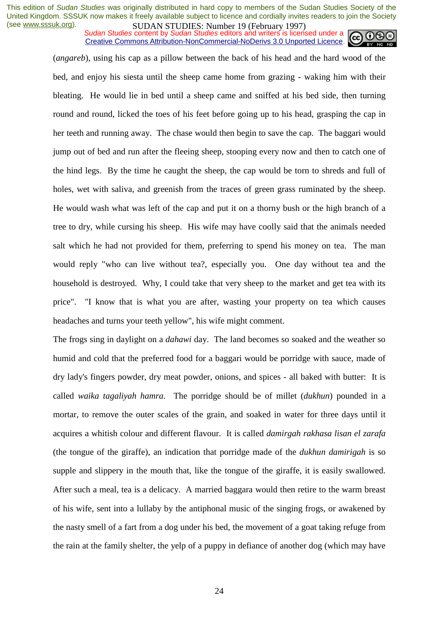**SUDAN STUDIES. INDUCTED TO COLLARY 1777**<br>Sudan Studies content by Sudan Studies editors and writers is licensed under a Creative Commons Attribution-NonCommercial-NoDerivs 3.0 Unported Licence.



(*angareb*), using his cap as a pillow between the back of his head and the hard wood of the bed, and enjoy his siesta until the sheep came home from grazing - waking him with their bleating. He would lie in bed until a sheep came and sniffed at his bed side, then turning round and round, licked the toes of his feet before going up to his head, grasping the cap in her teeth and running away. The chase would then begin to save the cap. The baggari would jump out of bed and run after the fleeing sheep, stooping every now and then to catch one of the hind legs. By the time he caught the sheep, the cap would be torn to shreds and full of holes, wet with saliva, and greenish from the traces of green grass ruminated by the sheep. He would wash what was left of the cap and put it on a thorny bush or the high branch of a tree to dry, while cursing his sheep. His wife may have coolly said that the animals needed salt which he had not provided for them, preferring to spend his money on tea. The man would reply "who can live without tea?, especially you. One day without tea and the household is destroyed. Why, I could take that very sheep to the market and get tea with its price". "I know that is what you are after, wasting your property on tea which causes headaches and turns your teeth yellow", his wife might comment.

The frogs sing in daylight on a *dahawi* day. The land becomes so soaked and the weather so humid and cold that the preferred food for a baggari would be porridge with sauce, made of dry lady's fingers powder, dry meat powder, onions, and spices - all baked with butter: It is called *waika tagaliyah hamra*. The porridge should be of millet (*dukhun*) pounded in a mortar, to remove the outer scales of the grain, and soaked in water for three days until it acquires a whitish colour and different flavour. It is called *damirgah rakhasa lisan el zarafa* (the tongue of the giraffe), an indication that porridge made of the *dukhun damirigah* is so supple and slippery in the mouth that, like the tongue of the giraffe, it is easily swallowed. After such a meal, tea is a delicacy. A married baggara would then retire to the warm breast of his wife, sent into a lullaby by the antiphonal music of the singing frogs, or awakened by the nasty smell of a fart from a dog under his bed, the movement of a goat taking refuge from the rain at the family shelter, the yelp of a puppy in defiance of another dog (which may have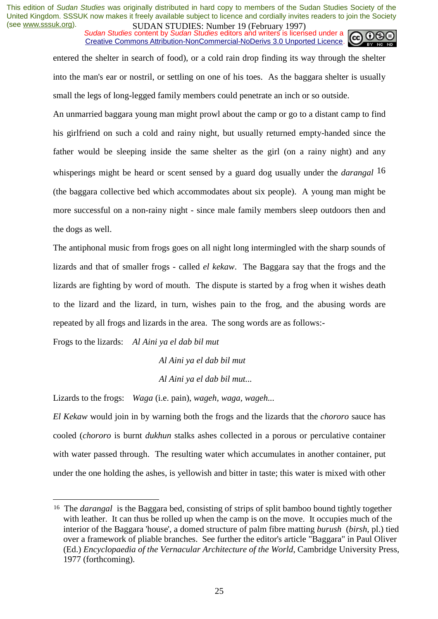*Sudan Studies content by Sudan Studies editors and writers is licensed under a* Creative Commons Attribution-NonCommercial-NoDerivs 3.0 Unported Licence.



entered the shelter in search of food), or a cold rain drop finding its way through the shelter into the man's ear or nostril, or settling on one of his toes. As the baggara shelter is usually small the legs of long-legged family members could penetrate an inch or so outside.

An unmarried baggara young man might prowl about the camp or go to a distant camp to find his girlfriend on such a cold and rainy night, but usually returned empty-handed since the father would be sleeping inside the same shelter as the girl (on a rainy night) and any whisperings might be heard or scent sensed by a guard dog usually under the *darangal* 16 (the baggara collective bed which accommodates about six people). A young man might be more successful on a non-rainy night - since male family members sleep outdoors then and the dogs as well.

The antiphonal music from frogs goes on all night long intermingled with the sharp sounds of lizards and that of smaller frogs - called *el kekaw*. The Baggara say that the frogs and the lizards are fighting by word of mouth. The dispute is started by a frog when it wishes death to the lizard and the lizard, in turn, wishes pain to the frog, and the abusing words are repeated by all frogs and lizards in the area. The song words are as follows:-

Frogs to the lizards: *Al Aini ya el dab bil mut* 

 $\overline{a}$ 

 *Al Aini ya el dab bil mut Al Aini ya el dab bil mut...*

Lizards to the frogs: *Waga* (i.e. pain), *wageh, waga, wageh...*

*El Kekaw* would join in by warning both the frogs and the lizards that the *chororo* sauce has cooled (*chororo* is burnt *dukhun* stalks ashes collected in a porous or perculative container with water passed through. The resulting water which accumulates in another container, put under the one holding the ashes, is yellowish and bitter in taste; this water is mixed with other

<sup>16</sup> The *darangal* is the Baggara bed, consisting of strips of split bamboo bound tightly together with leather. It can thus be rolled up when the camp is on the move. It occupies much of the interior of the Baggara 'house', a domed structure of palm fibre matting *burush* (*birsh*, pl.) tied over a framework of pliable branches. See further the editor's article "Baggara" in Paul Oliver (Ed.) *Encyclopaedia of the Vernacular Architecture of the World*, Cambridge University Press, 1977 (forthcoming).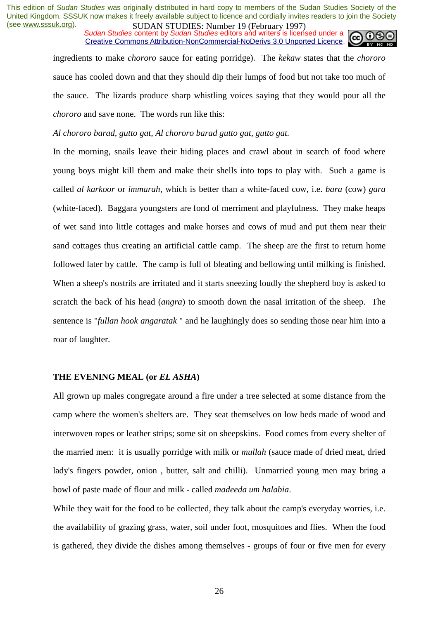*Sudan Studies content by Sudan Studies editors and writers is licensed under a* Creative Commons Attribution-NonCommercial-NoDerivs 3.0 Unported Licence.



ingredients to make *chororo* sauce for eating porridge). The *kekaw* states that the *chororo* sauce has cooled down and that they should dip their lumps of food but not take too much of the sauce. The lizards produce sharp whistling voices saying that they would pour all the *chororo* and save none. The words run like this:

*Al chororo barad, gutto gat, Al chororo barad gutto gat, gutto gat.*

In the morning, snails leave their hiding places and crawl about in search of food where young boys might kill them and make their shells into tops to play with. Such a game is called *al karkoor* or *immarah*, which is better than a white-faced cow, i.e. *bara* (cow) *gara* (white-faced). Baggara youngsters are fond of merriment and playfulness. They make heaps of wet sand into little cottages and make horses and cows of mud and put them near their sand cottages thus creating an artificial cattle camp. The sheep are the first to return home followed later by cattle. The camp is full of bleating and bellowing until milking is finished. When a sheep's nostrils are irritated and it starts sneezing loudly the shepherd boy is asked to scratch the back of his head (*angra*) to smooth down the nasal irritation of the sheep. The sentence is "*fullan hook angaratak* " and he laughingly does so sending those near him into a roar of laughter.

#### **THE EVENING MEAL (or** *EL ASHA***)**

All grown up males congregate around a fire under a tree selected at some distance from the camp where the women's shelters are. They seat themselves on low beds made of wood and interwoven ropes or leather strips; some sit on sheepskins. Food comes from every shelter of the married men: it is usually porridge with milk or *mullah* (sauce made of dried meat, dried lady's fingers powder, onion , butter, salt and chilli). Unmarried young men may bring a bowl of paste made of flour and milk - called *madeeda um halabia*.

While they wait for the food to be collected, they talk about the camp's everyday worries, i.e. the availability of grazing grass, water, soil under foot, mosquitoes and flies. When the food is gathered, they divide the dishes among themselves - groups of four or five men for every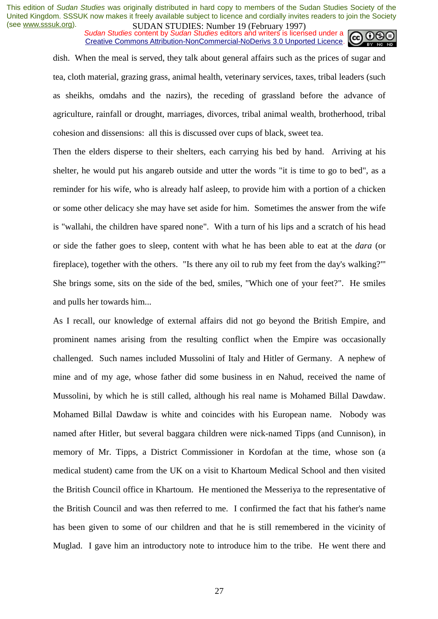*Sudan Studies content by Sudan Studies editors and writers is licensed under a* Creative Commons Attribution-NonCommercial-NoDerivs 3.0 Unported Licence.



dish. When the meal is served, they talk about general affairs such as the prices of sugar and tea, cloth material, grazing grass, animal health, veterinary services, taxes, tribal leaders (such as sheikhs, omdahs and the nazirs), the receding of grassland before the advance of agriculture, rainfall or drought, marriages, divorces, tribal animal wealth, brotherhood, tribal cohesion and dissensions: all this is discussed over cups of black, sweet tea.

Then the elders disperse to their shelters, each carrying his bed by hand. Arriving at his shelter, he would put his angareb outside and utter the words "it is time to go to bed", as a reminder for his wife, who is already half asleep, to provide him with a portion of a chicken or some other delicacy she may have set aside for him. Sometimes the answer from the wife is "wallahi, the children have spared none". With a turn of his lips and a scratch of his head or side the father goes to sleep, content with what he has been able to eat at the *dara* (or fireplace), together with the others. "Is there any oil to rub my feet from the day's walking?"' She brings some, sits on the side of the bed, smiles, "Which one of your feet?". He smiles and pulls her towards him...

As I recall, our knowledge of external affairs did not go beyond the British Empire, and prominent names arising from the resulting conflict when the Empire was occasionally challenged. Such names included Mussolini of Italy and Hitler of Germany. A nephew of mine and of my age, whose father did some business in en Nahud, received the name of Mussolini, by which he is still called, although his real name is Mohamed Billal Dawdaw. Mohamed Billal Dawdaw is white and coincides with his European name. Nobody was named after Hitler, but several baggara children were nick-named Tipps (and Cunnison), in memory of Mr. Tipps, a District Commissioner in Kordofan at the time, whose son (a medical student) came from the UK on a visit to Khartoum Medical School and then visited the British Council office in Khartoum. He mentioned the Messeriya to the representative of the British Council and was then referred to me. I confirmed the fact that his father's name has been given to some of our children and that he is still remembered in the vicinity of Muglad. I gave him an introductory note to introduce him to the tribe. He went there and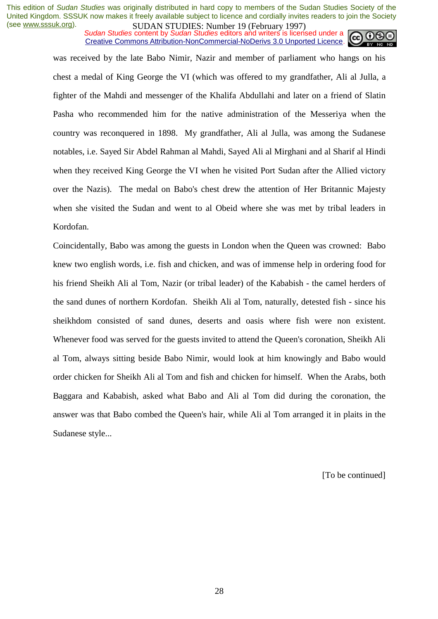*Sudan Studies content by Sudan Studies editors and writers is licensed under a* Creative Commons Attribution-NonCommercial-NoDerivs 3.0 Unported Licence.



was received by the late Babo Nimir, Nazir and member of parliament who hangs on his chest a medal of King George the VI (which was offered to my grandfather, Ali al Julla, a fighter of the Mahdi and messenger of the Khalifa Abdullahi and later on a friend of Slatin Pasha who recommended him for the native administration of the Messeriya when the country was reconquered in 1898. My grandfather, Ali al Julla, was among the Sudanese notables, i.e. Sayed Sir Abdel Rahman al Mahdi, Sayed Ali al Mirghani and al Sharif al Hindi when they received King George the VI when he visited Port Sudan after the Allied victory over the Nazis). The medal on Babo's chest drew the attention of Her Britannic Majesty when she visited the Sudan and went to al Obeid where she was met by tribal leaders in Kordofan.

Coincidentally, Babo was among the guests in London when the Queen was crowned: Babo knew two english words, i.e. fish and chicken, and was of immense help in ordering food for his friend Sheikh Ali al Tom, Nazir (or tribal leader) of the Kababish - the camel herders of the sand dunes of northern Kordofan. Sheikh Ali al Tom, naturally, detested fish - since his sheikhdom consisted of sand dunes, deserts and oasis where fish were non existent. Whenever food was served for the guests invited to attend the Queen's coronation, Sheikh Ali al Tom, always sitting beside Babo Nimir, would look at him knowingly and Babo would order chicken for Sheikh Ali al Tom and fish and chicken for himself. When the Arabs, both Baggara and Kababish, asked what Babo and Ali al Tom did during the coronation, the answer was that Babo combed the Queen's hair, while Ali al Tom arranged it in plaits in the Sudanese style...

[To be continued]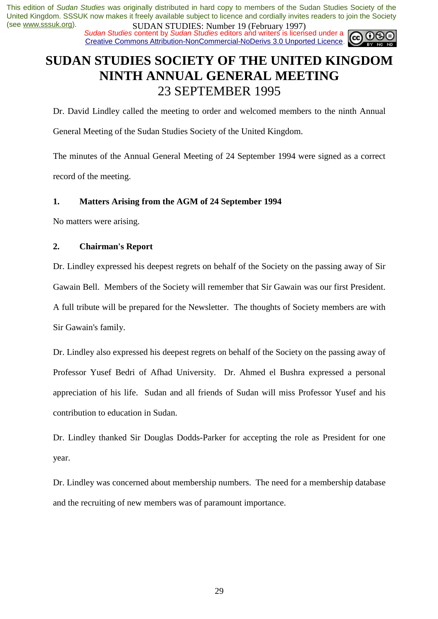*Sudan Studies content by Sudan Studies editors and writers is licensed under a* Creative Commons Attribution-NonCommercial-NoDerivs 3.0 Unported Licence.



# **SUDAN STUDIES SOCIETY OF THE UNITED KINGDOM NINTH ANNUAL GENERAL MEETING**  23 SEPTEMBER 1995

Dr. David Lindley called the meeting to order and welcomed members to the ninth Annual

General Meeting of the Sudan Studies Society of the United Kingdom.

The minutes of the Annual General Meeting of 24 September 1994 were signed as a correct record of the meeting.

# **1. Matters Arising from the AGM of 24 September 1994**

No matters were arising.

# **2. Chairman's Report**

Dr. Lindley expressed his deepest regrets on behalf of the Society on the passing away of Sir Gawain Bell. Members of the Society will remember that Sir Gawain was our first President. A full tribute will be prepared for the Newsletter. The thoughts of Society members are with Sir Gawain's family.

Dr. Lindley also expressed his deepest regrets on behalf of the Society on the passing away of Professor Yusef Bedri of Afhad University. Dr. Ahmed el Bushra expressed a personal appreciation of his life. Sudan and all friends of Sudan will miss Professor Yusef and his contribution to education in Sudan.

Dr. Lindley thanked Sir Douglas Dodds-Parker for accepting the role as President for one year.

Dr. Lindley was concerned about membership numbers. The need for a membership database and the recruiting of new members was of paramount importance.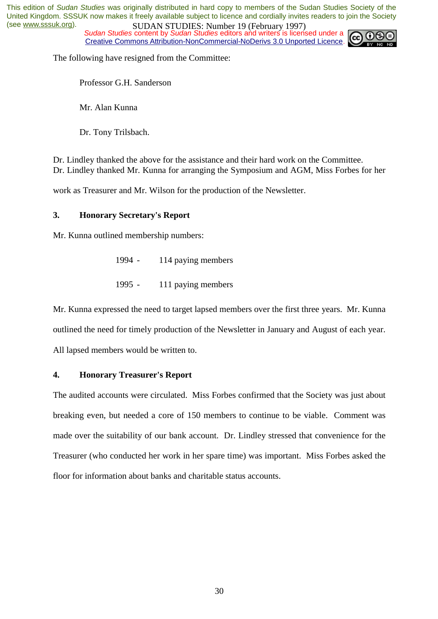*Sudan Studies content by Sudan Studies editors and writers is licensed under a* Creative Commons Attribution-NonCommercial-NoDerivs 3.0 Unported Licence.



The following have resigned from the Committee:

Professor G.H. Sanderson

Mr. Alan Kunna

Dr. Tony Trilsbach.

Dr. Lindley thanked the above for the assistance and their hard work on the Committee. Dr. Lindley thanked Mr. Kunna for arranging the Symposium and AGM, Miss Forbes for her

work as Treasurer and Mr. Wilson for the production of the Newsletter.

### **3. Honorary Secretary's Report**

Mr. Kunna outlined membership numbers:

- 1994 114 paying members
- 1995 111 paying members

Mr. Kunna expressed the need to target lapsed members over the first three years. Mr. Kunna outlined the need for timely production of the Newsletter in January and August of each year. All lapsed members would be written to.

### **4. Honorary Treasurer's Report**

The audited accounts were circulated. Miss Forbes confirmed that the Society was just about breaking even, but needed a core of 150 members to continue to be viable. Comment was made over the suitability of our bank account. Dr. Lindley stressed that convenience for the Treasurer (who conducted her work in her spare time) was important. Miss Forbes asked the floor for information about banks and charitable status accounts.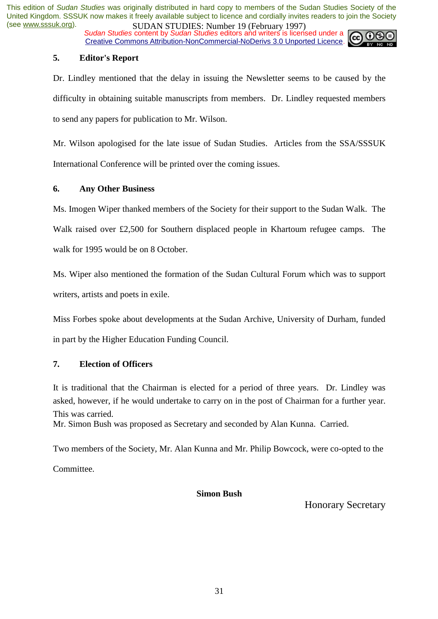*Sudan Studies content by Sudan Studies editors and writers is licensed under a* Creative Commons Attribution-NonCommercial-NoDerivs 3.0 Unported Licence.

# **5. Editor's Report**

Dr. Lindley mentioned that the delay in issuing the Newsletter seems to be caused by the difficulty in obtaining suitable manuscripts from members. Dr. Lindley requested members to send any papers for publication to Mr. Wilson.

Mr. Wilson apologised for the late issue of Sudan Studies. Articles from the SSA/SSSUK International Conference will be printed over the coming issues.

### **6. Any Other Business**

Ms. Imogen Wiper thanked members of the Society for their support to the Sudan Walk. The Walk raised over £2,500 for Southern displaced people in Khartoum refugee camps. The walk for 1995 would be on 8 October.

Ms. Wiper also mentioned the formation of the Sudan Cultural Forum which was to support writers, artists and poets in exile.

Miss Forbes spoke about developments at the Sudan Archive, University of Durham, funded in part by the Higher Education Funding Council.

### **7. Election of Officers**

It is traditional that the Chairman is elected for a period of three years. Dr. Lindley was asked, however, if he would undertake to carry on in the post of Chairman for a further year. This was carried.

Mr. Simon Bush was proposed as Secretary and seconded by Alan Kunna. Carried.

Two members of the Society, Mr. Alan Kunna and Mr. Philip Bowcock, were co-opted to the

Committee.

### **Simon Bush**

Honorary Secretary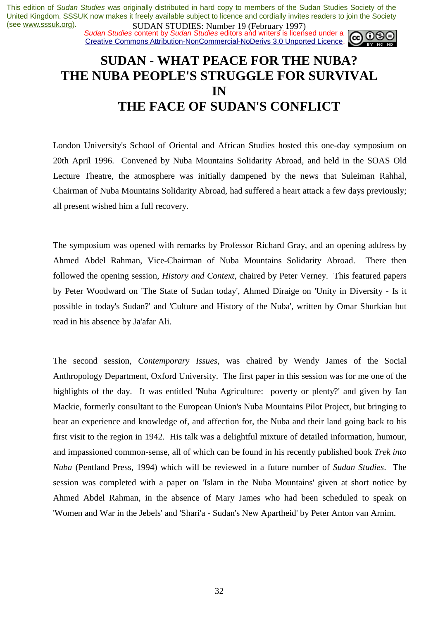*Sudan Studies content by Sudan Studies editors and writers is licensed under a* Creative Commons Attribution-NonCommercial-NoDerivs 3.0 Unported Licence.



# **SUDAN - WHAT PEACE FOR THE NUBA? THE NUBA PEOPLE'S STRUGGLE FOR SURVIVAL IN THE FACE OF SUDAN'S CONFLICT**

London University's School of Oriental and African Studies hosted this one-day symposium on 20th April 1996. Convened by Nuba Mountains Solidarity Abroad, and held in the SOAS Old Lecture Theatre, the atmosphere was initially dampened by the news that Suleiman Rahhal, Chairman of Nuba Mountains Solidarity Abroad, had suffered a heart attack a few days previously; all present wished him a full recovery.

The symposium was opened with remarks by Professor Richard Gray, and an opening address by Ahmed Abdel Rahman, Vice-Chairman of Nuba Mountains Solidarity Abroad. There then followed the opening session, *History and Context*, chaired by Peter Verney. This featured papers by Peter Woodward on 'The State of Sudan today', Ahmed Diraige on 'Unity in Diversity - Is it possible in today's Sudan?' and 'Culture and History of the Nuba', written by Omar Shurkian but read in his absence by Ja'afar Ali.

The second session, *Contemporary Issues*, was chaired by Wendy James of the Social Anthropology Department, Oxford University. The first paper in this session was for me one of the highlights of the day. It was entitled 'Nuba Agriculture: poverty or plenty?' and given by Ian Mackie, formerly consultant to the European Union's Nuba Mountains Pilot Project, but bringing to bear an experience and knowledge of, and affection for, the Nuba and their land going back to his first visit to the region in 1942. His talk was a delightful mixture of detailed information, humour, and impassioned common-sense, all of which can be found in his recently published book *Trek into Nuba* (Pentland Press, 1994) which will be reviewed in a future number of *Sudan Studies*. The session was completed with a paper on 'Islam in the Nuba Mountains' given at short notice by Ahmed Abdel Rahman, in the absence of Mary James who had been scheduled to speak on 'Women and War in the Jebels' and 'Shari'a - Sudan's New Apartheid' by Peter Anton van Arnim.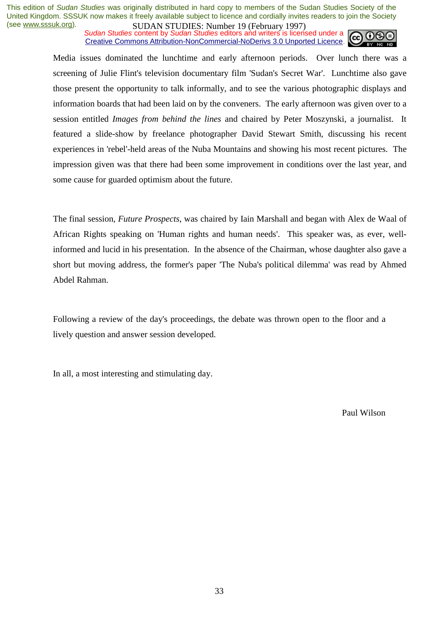**SUDAN STUDIES.** Number 17 (Corress) 1977, Sudan Studies content by Sudan Studies editors and writers is licensed under a Creative Commons Attribution-NonCommercial-NoDerivs 3.0 Unported Licence.



Media issues dominated the lunchtime and early afternoon periods. Over lunch there was a screening of Julie Flint's television documentary film 'Sudan's Secret War'. Lunchtime also gave those present the opportunity to talk informally, and to see the various photographic displays and information boards that had been laid on by the conveners. The early afternoon was given over to a session entitled *Images from behind the lines* and chaired by Peter Moszynski, a journalist. It featured a slide-show by freelance photographer David Stewart Smith, discussing his recent experiences in 'rebel'-held areas of the Nuba Mountains and showing his most recent pictures. The impression given was that there had been some improvement in conditions over the last year, and some cause for guarded optimism about the future.

The final session, *Future Prospects*, was chaired by Iain Marshall and began with Alex de Waal of African Rights speaking on 'Human rights and human needs'. This speaker was, as ever, wellinformed and lucid in his presentation. In the absence of the Chairman, whose daughter also gave a short but moving address, the former's paper 'The Nuba's political dilemma' was read by Ahmed Abdel Rahman.

Following a review of the day's proceedings, the debate was thrown open to the floor and a lively question and answer session developed.

In all, a most interesting and stimulating day.

Paul Wilson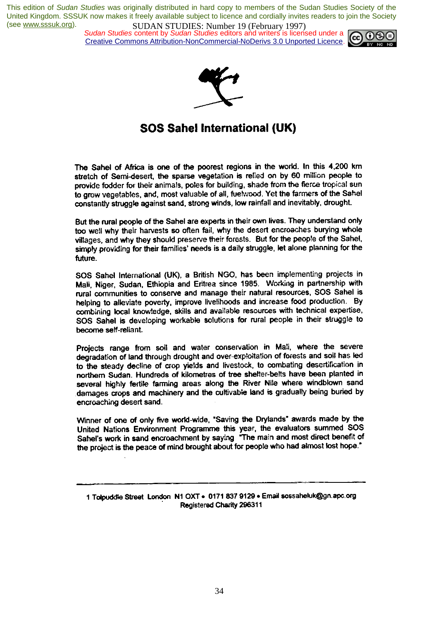*Sudan Studies* content by *Sudan Studies* editors and writers is licensed under a Creative Commons Attribution-NonCommercial-NoDerivs 3.0 Unported Licence.





# **SOS Sahel International (UK)**

The Sahel of Africa is one of the poorest regions in the world. In this 4,200 km stretch of Semi-desert, the sparse vegetation is relied on by 60 million people to provide fodder for their animals, poles for building, shade from the fierce tropical sun to grow vegetables, and, most valuable of all, fuetwood. Yet the farmers of the Sahel constantly struggle against sand, strong winds, low rainfall and inevitably, drought.

But the rural people of the Sahel are experts in their own lives. They understand only too well why their harvests so often fail, why the desert encroaches burying whole villages, and why they should preserve their forests. But for the people of the Sahel, simply providing for their families' needs is a daily struggle, let alone planning for the future.

SOS Sahel International (UK), a British NGO, has been implementing projects in Mali, Niger, Sudan, Ethiopia and Eritrea since 1985. Working in partnership with rural communities to conserve and manage their natural resources, SOS Sahel is helping to alleviate poverty, improve livelihoods and increase food production. By combining local knowledge, skills and available resources with technical expertise, SOS Sahel is developing workable solutions for rural people in their struggle to become self-reliant.

Projects range from soil and water conservation in Mali, where the severe degradation of land through drought and over-exploitation of forests and soil has led to the steady decline of crop yields and livestock, to combating desertification in northern Sudan. Hundreds of kilometres of tree shelter-belts have been planted in several highly fertile farming areas along the River Nile where windblown sand damages crops and machinery and the cultivable land is gradually being buried by encroaching desert sand.

Winner of one of only five world-wide, "Saving the Drylands" awards made by the United Nations Environment Programme this year, the evaluators summed SOS Sahel's work in sand encroachment by saying "The main and most direct benefit of the project is the peace of mind brought about for people who had almost lost hope."

1 Tolpuddle Street London N1 OXT . 0171 837 9129 . Email sossaheluk@gn.apc.org **Registered Charity 296311**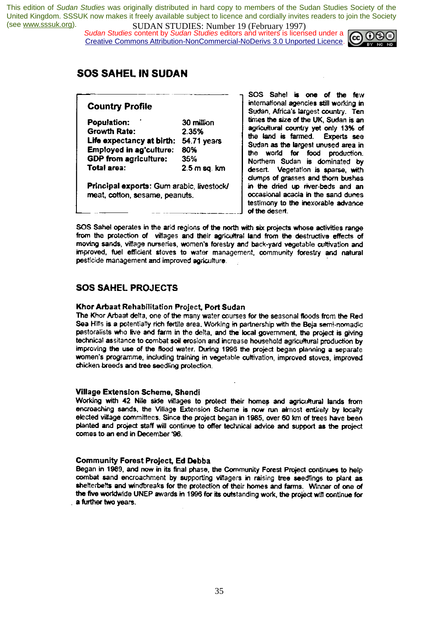*Sudan Studies* content by *Sudan Studies* editors and writers is licensed under a Creative Commons Attribution-NonCommercial-NoDerivs 3.0 Unported Licence.



# **SOS SAHEL IN SUDAN**

### **Country Profile**

| Population:                                                                 | 30 million     |
|-----------------------------------------------------------------------------|----------------|
| Growth Rate:                                                                | 2.35%          |
| Life expectancy at birth:                                                   | 54.71 years    |
| Employed in ag'culture:                                                     | 80%            |
| GDP from agriculture:                                                       | 35%            |
| Total area:                                                                 | $2.5$ m sq. km |
| Principal exports: Gum arabic, livestock/<br>meat, cotton, sesame, peanuts. |                |

SOS Sahe! is one of the few international agencies still working in Sudan, Africa's largest country. Ten times the size of the UK, Sudan is an agricultural country yet only 13% of the land is farmed. Experts see Sudan as the largest unused area in the world for food production. Northern Sudan is dominated by desert. Vegetation is sparse, with clumps of grasses and thorn bushes in the dried up river-beds and an occasional acacia in the sand dunes testimony to the inexorable advance of the desert.

SOS Sahel operates in the arid regions of the north with six projects whose activities range from the protection of villages and their agricultral land from the destructive effects of moving sands, village nurseries, women's forestry and back-yard vegetable cultivation and improved, fuel efficient stoves to water management, community forestry and natural pesticide management and improved agriculture.

# **SOS SAHEL PROJECTS**

#### Khor Arbaat Rehabilitation Project, Port Sudan

The Khor Arbaat delta, one of the many water courses for the seasonal floods from the Red Sea Hills is a potentially rich fertile area. Working in partnership with the Beja semi-nomadic pastoralists who live and farm in the delta, and the local government, the project is giving technical assitance to combat soil erosion and increase household agricultural production by improving the use of the flood water. During 1996 the project began planning a separate women's programme, including training in vegetable cultivation, improved stoves, improved chicken breeds and tree seedling protection.

#### Village Extension Scheme, Shendi

Working with 42 Nile side villages to protect their homes and agricultural lands from encroaching sands, the Village Extension Scheme is now run almost entirely by locally elected village committees. Since the project began in 1985, over 60 km of trees have been planted and project staff will continue to offer technical advice and support as the project comes to an end in December '96.

#### **Community Forest Project, Ed Debba**

Began in 1989, and now in its final phase, the Community Forest Project continues to help combat sand encroachment by supporting villagers in raising tree seedlings to plant as shelterbelts and windbreaks for the protection of their homes and farms. Winner of one of the five worldwide UNEP awards in 1996 for its outstanding work, the project will continue for a further two years.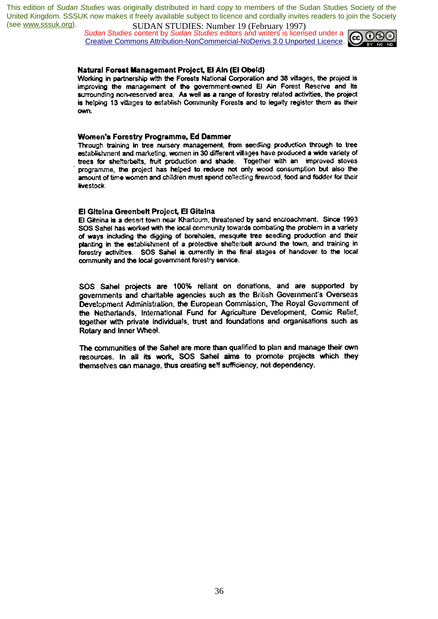*Sudan Studies* content by *Sudan Studies* editors and writers is licensed under a Creative Commons Attribution-NonCommercial-NoDerivs 3.0 Unported Licence.



#### Natural Forest Management Project, El Ain (El Obeid)

Working in partnership with the Forests National Corporation and 38 villages, the project is improving the management of the government-owned El Ain Forest Reserve and its surrounding non-reserved area. As well as a range of forestry related activities, the project is helping 13 villages to establish Community Forests and to legally register them as their nun.

#### Women's Forestry Programme, Ed Dammer

Through training in tree nursery management, from seedling production through to tree establishment and marketing, women in 30 different villages have produced a wide variety of trees for shelterbelts, fruit production and shade. Together with an improved stoves programme, the project has helped to reduce not only wood consumption but also the amount of time women and children must spend collecting firewood, food and fodder for their livestock.

#### El Giteina Greenbelt Project, El Giteina

El Giteina is a desert town near Khartoum, threatened by sand encroachment. Since 1993 SOS Sahel has worked with the local community towards combating the problem in a variety of ways including the digging of boreholes, mesquite tree seedling production and their planting in the establishment of a protective shelterbelt around the town, and training in forestry activities. SOS Sahel is currently in the final stages of handover to the local community and the local government forestry service.

SOS Sahel projects are 100% reliant on donations, and are supported by governments and charitable agencies such as the British Government's Overseas Development Administration, the European Commission, The Royal Government of the Netherlands, International Fund for Agriculture Development, Comic Relief, together with private individuals, trust and foundations and organisations such as Rotary and Inner Wheel.

The communities of the Sahel are more than qualified to plan and manage their own resources. In all its work, SOS Sahel aims to promote projects which they themselves can manage, thus creating self sufficiency, not dependency.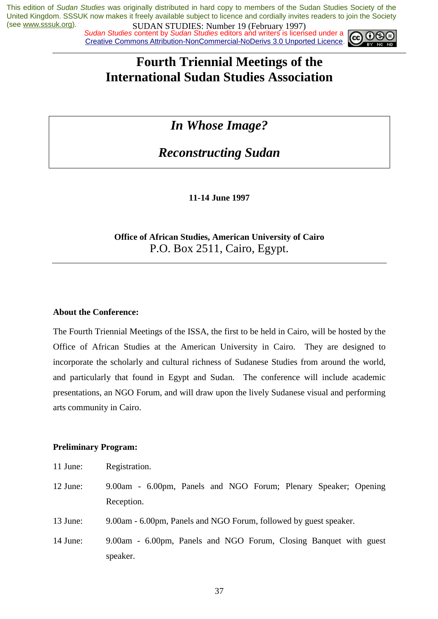*Sudan Studies content by Sudan Studies editors and writers is licensed under a* Creative Commons Attribution-NonCommercial-NoDerivs 3.0 Unported Licence.



# **Fourth Triennial Meetings of the International Sudan Studies Association**

# *In Whose Image?*

*Reconstructing Sudan* 

**11-14 June 1997** 

# **Office of African Studies, American University of Cairo**  P.O. Box 2511, Cairo, Egypt.

# **About the Conference:**

The Fourth Triennial Meetings of the ISSA, the first to be held in Cairo, will be hosted by the Office of African Studies at the American University in Cairo. They are designed to incorporate the scholarly and cultural richness of Sudanese Studies from around the world, and particularly that found in Egypt and Sudan. The conference will include academic presentations, an NGO Forum, and will draw upon the lively Sudanese visual and performing arts community in Cairo.

# **Preliminary Program:**

- 11 June: Registration.
- 12 June: 9.00am 6.00pm, Panels and NGO Forum; Plenary Speaker; Opening Reception.
- 13 June: 9.00am 6.00pm, Panels and NGO Forum, followed by guest speaker.
- 14 June: 9.00am 6.00pm, Panels and NGO Forum, Closing Banquet with guest speaker.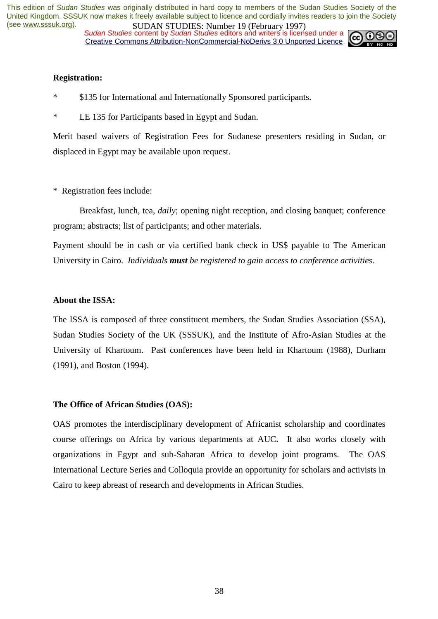*Sudan Studies content by Sudan Studies editors and writers is licensed under a* Creative Commons Attribution-NonCommercial-NoDerivs 3.0 Unported Licence.



### **Registration:**

- \* \$135 for International and Internationally Sponsored participants.
- \* LE 135 for Participants based in Egypt and Sudan.

Merit based waivers of Registration Fees for Sudanese presenters residing in Sudan, or displaced in Egypt may be available upon request.

\* Registration fees include:

 Breakfast, lunch, tea, *daily*; opening night reception, and closing banquet; conference program; abstracts; list of participants; and other materials.

Payment should be in cash or via certified bank check in US\$ payable to The American University in Cairo. *Individuals must be registered to gain access to conference activities*.

#### **About the ISSA:**

The ISSA is composed of three constituent members, the Sudan Studies Association (SSA), Sudan Studies Society of the UK (SSSUK), and the Institute of Afro-Asian Studies at the University of Khartoum. Past conferences have been held in Khartoum (1988), Durham (1991), and Boston (1994).

#### **The Office of African Studies (OAS):**

OAS promotes the interdisciplinary development of Africanist scholarship and coordinates course offerings on Africa by various departments at AUC. It also works closely with organizations in Egypt and sub-Saharan Africa to develop joint programs. The OAS International Lecture Series and Colloquia provide an opportunity for scholars and activists in Cairo to keep abreast of research and developments in African Studies.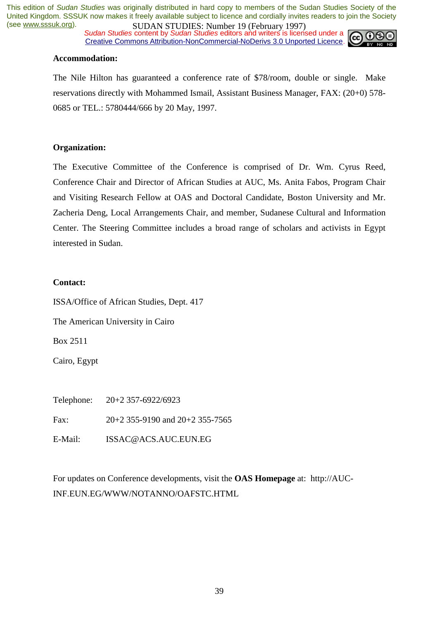*Sudan Studies content by Sudan Studies editors and writers is licensed under a* Creative Commons Attribution-NonCommercial-NoDerivs 3.0 Unported Licence.



### **Accommodation:**

The Nile Hilton has guaranteed a conference rate of \$78/room, double or single. Make reservations directly with Mohammed Ismail, Assistant Business Manager, FAX: (20+0) 578- 0685 or TEL.: 5780444/666 by 20 May, 1997.

#### **Organization:**

The Executive Committee of the Conference is comprised of Dr. Wm. Cyrus Reed, Conference Chair and Director of African Studies at AUC, Ms. Anita Fabos, Program Chair and Visiting Research Fellow at OAS and Doctoral Candidate, Boston University and Mr. Zacheria Deng, Local Arrangements Chair, and member, Sudanese Cultural and Information Center. The Steering Committee includes a broad range of scholars and activists in Egypt interested in Sudan.

#### **Contact:**

ISSA/Office of African Studies, Dept. 417

The American University in Cairo

Box 2511

Cairo, Egypt

Telephone: 20+2 357-6922/6923

Fax: 20+2 355-9190 and 20+2 355-7565

E-Mail: ISSAC@ACS.AUC.EUN.EG

For updates on Conference developments, visit the **OAS Homepage** at: http://AUC-INF.EUN.EG/WWW/NOTANNO/OAFSTC.HTML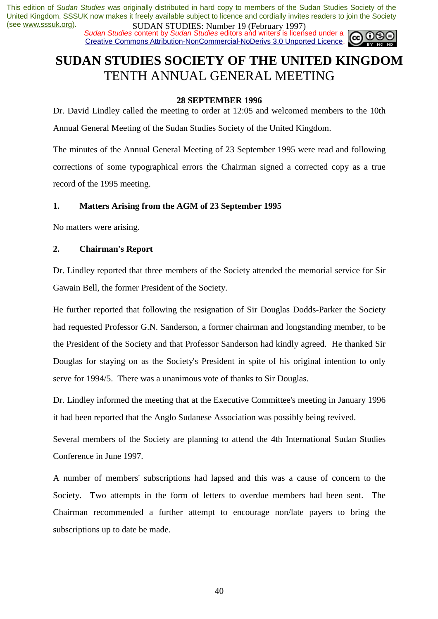*Sudan Studies content by Sudan Studies editors and writers is licensed under a* Creative Commons Attribution-NonCommercial-NoDerivs 3.0 Unported Licence.



# **SUDAN STUDIES SOCIETY OF THE UNITED KINGDOM**  TENTH ANNUAL GENERAL MEETING

### **28 SEPTEMBER 1996**

Dr. David Lindley called the meeting to order at 12:05 and welcomed members to the 10th Annual General Meeting of the Sudan Studies Society of the United Kingdom.

The minutes of the Annual General Meeting of 23 September 1995 were read and following corrections of some typographical errors the Chairman signed a corrected copy as a true record of the 1995 meeting.

### **1. Matters Arising from the AGM of 23 September 1995**

No matters were arising.

### **2. Chairman's Report**

Dr. Lindley reported that three members of the Society attended the memorial service for Sir Gawain Bell, the former President of the Society.

He further reported that following the resignation of Sir Douglas Dodds-Parker the Society had requested Professor G.N. Sanderson, a former chairman and longstanding member, to be the President of the Society and that Professor Sanderson had kindly agreed. He thanked Sir Douglas for staying on as the Society's President in spite of his original intention to only serve for 1994/5. There was a unanimous vote of thanks to Sir Douglas.

Dr. Lindley informed the meeting that at the Executive Committee's meeting in January 1996 it had been reported that the Anglo Sudanese Association was possibly being revived.

Several members of the Society are planning to attend the 4th International Sudan Studies Conference in June 1997.

A number of members' subscriptions had lapsed and this was a cause of concern to the Society. Two attempts in the form of letters to overdue members had been sent. The Chairman recommended a further attempt to encourage non/late payers to bring the subscriptions up to date be made.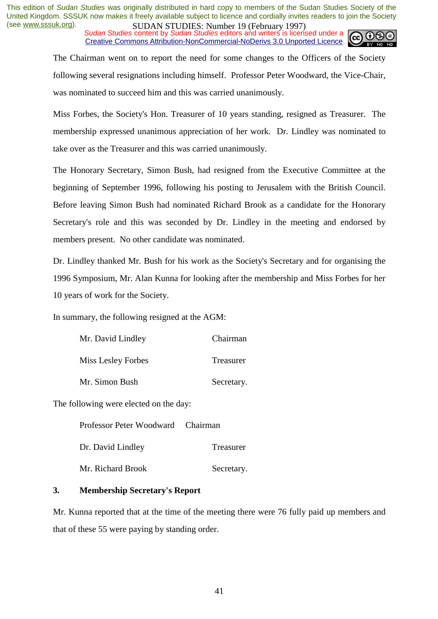*Sudan Studies content by Sudan Studies editors and writers is licensed under a* Creative Commons Attribution-NonCommercial-NoDerivs 3.0 Unported Licence.



The Chairman went on to report the need for some changes to the Officers of the Society following several resignations including himself. Professor Peter Woodward, the Vice-Chair, was nominated to succeed him and this was carried unanimously.

Miss Forbes, the Society's Hon. Treasurer of 10 years standing, resigned as Treasurer. The membership expressed unanimous appreciation of her work. Dr. Lindley was nominated to take over as the Treasurer and this was carried unanimously.

The Honorary Secretary, Simon Bush, had resigned from the Executive Committee at the beginning of September 1996, following his posting to Jerusalem with the British Council. Before leaving Simon Bush had nominated Richard Brook as a candidate for the Honorary Secretary's role and this was seconded by Dr. Lindley in the meeting and endorsed by members present. No other candidate was nominated.

Dr. Lindley thanked Mr. Bush for his work as the Society's Secretary and for organising the 1996 Symposium, Mr. Alan Kunna for looking after the membership and Miss Forbes for her 10 years of work for the Society.

In summary, the following resigned at the AGM:

| Mr. David Lindley  | Chairman   |
|--------------------|------------|
| Miss Lesley Forbes | Treasurer  |
| Mr. Simon Bush     | Secretary. |

The following were elected on the day:

| Professor Peter Woodward Chairman |            |
|-----------------------------------|------------|
| Dr. David Lindley                 | Treasurer  |
| Mr. Richard Brook                 | Secretary. |

#### **3. Membership Secretary's Report**

Mr. Kunna reported that at the time of the meeting there were 76 fully paid up members and that of these 55 were paying by standing order.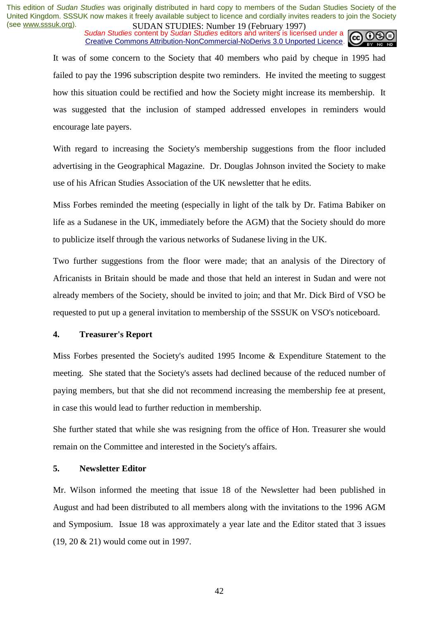*Sudan Studies content by Sudan Studies editors and writers is licensed under a* Creative Commons Attribution-NonCommercial-NoDerivs 3.0 Unported Licence.



It was of some concern to the Society that 40 members who paid by cheque in 1995 had failed to pay the 1996 subscription despite two reminders. He invited the meeting to suggest how this situation could be rectified and how the Society might increase its membership. It was suggested that the inclusion of stamped addressed envelopes in reminders would encourage late payers.

With regard to increasing the Society's membership suggestions from the floor included advertising in the Geographical Magazine. Dr. Douglas Johnson invited the Society to make use of his African Studies Association of the UK newsletter that he edits.

Miss Forbes reminded the meeting (especially in light of the talk by Dr. Fatima Babiker on life as a Sudanese in the UK, immediately before the AGM) that the Society should do more to publicize itself through the various networks of Sudanese living in the UK.

Two further suggestions from the floor were made; that an analysis of the Directory of Africanists in Britain should be made and those that held an interest in Sudan and were not already members of the Society, should be invited to join; and that Mr. Dick Bird of VSO be requested to put up a general invitation to membership of the SSSUK on VSO's noticeboard.

### **4. Treasurer's Report**

Miss Forbes presented the Society's audited 1995 Income & Expenditure Statement to the meeting. She stated that the Society's assets had declined because of the reduced number of paying members, but that she did not recommend increasing the membership fee at present, in case this would lead to further reduction in membership.

She further stated that while she was resigning from the office of Hon. Treasurer she would remain on the Committee and interested in the Society's affairs.

### **5. Newsletter Editor**

Mr. Wilson informed the meeting that issue 18 of the Newsletter had been published in August and had been distributed to all members along with the invitations to the 1996 AGM and Symposium. Issue 18 was approximately a year late and the Editor stated that 3 issues (19, 20 & 21) would come out in 1997.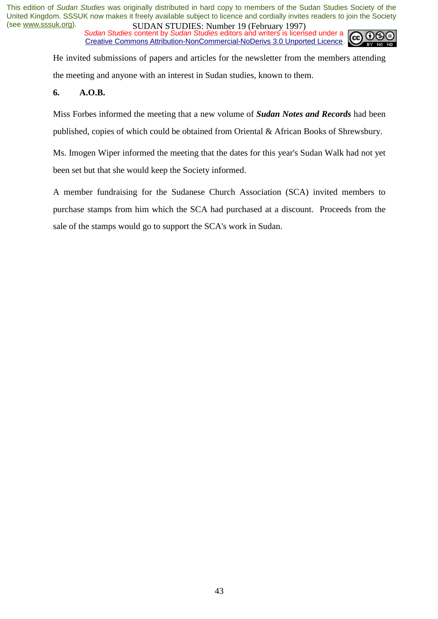*Sudan Studies content by Sudan Studies editors and writers is licensed under a* Creative Commons Attribution-NonCommercial-NoDerivs 3.0 Unported Licence.



He invited submissions of papers and articles for the newsletter from the members attending the meeting and anyone with an interest in Sudan studies, known to them.

### **6. A.O.B.**

Miss Forbes informed the meeting that a new volume of *Sudan Notes and Records* had been published, copies of which could be obtained from Oriental & African Books of Shrewsbury.

Ms. Imogen Wiper informed the meeting that the dates for this year's Sudan Walk had not yet been set but that she would keep the Society informed.

A member fundraising for the Sudanese Church Association (SCA) invited members to purchase stamps from him which the SCA had purchased at a discount. Proceeds from the sale of the stamps would go to support the SCA's work in Sudan.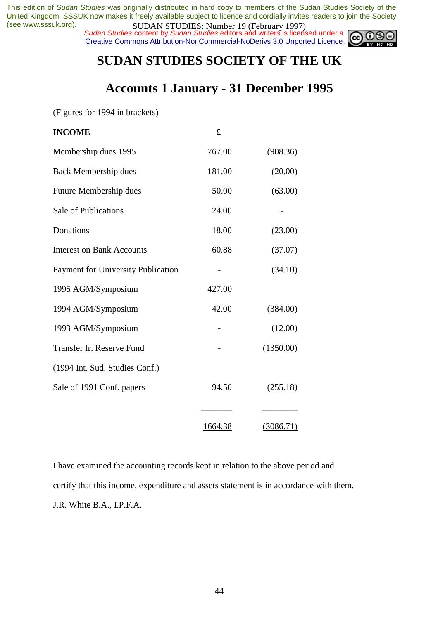*Sudan Studies content by Sudan Studies editors and writers is licensed under a* Creative Commons Attribution-NonCommercial-NoDerivs 3.0 Unported Licence.



# **SUDAN STUDIES SOCIETY OF THE UK**

# **Accounts 1 January - 31 December 1995**

(Figures for 1994 in brackets)

| <b>INCOME</b>                             | £       |           |
|-------------------------------------------|---------|-----------|
| Membership dues 1995                      | 767.00  | (908.36)  |
| Back Membership dues                      | 181.00  | (20.00)   |
| Future Membership dues                    | 50.00   | (63.00)   |
| Sale of Publications                      | 24.00   |           |
| Donations                                 | 18.00   | (23.00)   |
| <b>Interest on Bank Accounts</b>          | 60.88   | (37.07)   |
| <b>Payment for University Publication</b> |         | (34.10)   |
| 1995 AGM/Symposium                        | 427.00  |           |
| 1994 AGM/Symposium                        | 42.00   | (384.00)  |
| 1993 AGM/Symposium                        |         | (12.00)   |
| Transfer fr. Reserve Fund                 |         | (1350.00) |
| (1994 Int. Sud. Studies Conf.)            |         |           |
| Sale of 1991 Conf. papers                 | 94.50   | (255.18)  |
|                                           |         |           |
|                                           | 1664.38 | (3086.71) |

I have examined the accounting records kept in relation to the above period and certify that this income, expenditure and assets statement is in accordance with them. J.R. White B.A., I.P.F.A.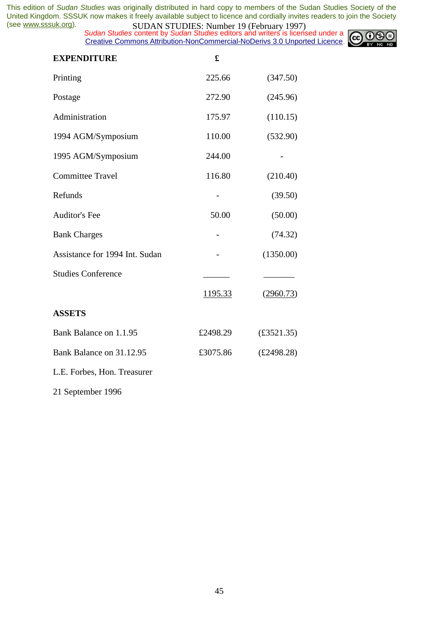*Sudan Studies content by Sudan Studies editors and writers is licensed under a* Creative Commons Attribution-NonCommercial-NoDerivs 3.0 Unported Licence.



| <b>EXPENDITURE</b>             | £        |                    |
|--------------------------------|----------|--------------------|
| Printing                       | 225.66   | (347.50)           |
| Postage                        | 272.90   | (245.96)           |
| Administration                 | 175.97   | (110.15)           |
| 1994 AGM/Symposium             | 110.00   | (532.90)           |
| 1995 AGM/Symposium             | 244.00   |                    |
| <b>Committee Travel</b>        | 116.80   | (210.40)           |
| Refunds                        | -        | (39.50)            |
| <b>Auditor's Fee</b>           | 50.00    | (50.00)            |
| <b>Bank Charges</b>            |          | (74.32)            |
| Assistance for 1994 Int. Sudan |          | (1350.00)          |
| <b>Studies Conference</b>      |          |                    |
|                                | 1195.33  | (2960.73)          |
| <b>ASSETS</b>                  |          |                    |
| Bank Balance on 1.1.95         | £2498.29 | $(\pounds3521.35)$ |
| Bank Balance on 31.12.95       | £3075.86 | £2498.28)          |
| L.E. Forbes, Hon. Treasurer    |          |                    |
|                                |          |                    |

21 September 1996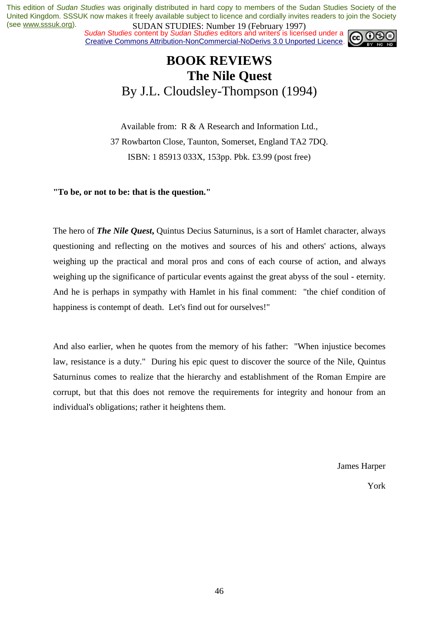*Sudan Studies content by Sudan Studies editors and writers is licensed under a* Creative Commons Attribution-NonCommercial-NoDerivs 3.0 Unported Licence.



# **BOOK REVIEWS The Nile Quest**  By J.L. Cloudsley-Thompson (1994)

Available from: R & A Research and Information Ltd., 37 Rowbarton Close, Taunton, Somerset, England TA2 7DQ. ISBN: 1 85913 033X, 153pp. Pbk. £3.99 (post free)

**"To be, or not to be: that is the question."** 

The hero of *The Nile Quest***,** Quintus Decius Saturninus, is a sort of Hamlet character, always questioning and reflecting on the motives and sources of his and others' actions, always weighing up the practical and moral pros and cons of each course of action, and always weighing up the significance of particular events against the great abyss of the soul - eternity. And he is perhaps in sympathy with Hamlet in his final comment: "the chief condition of happiness is contempt of death. Let's find out for ourselves!"

And also earlier, when he quotes from the memory of his father: "When injustice becomes law, resistance is a duty." During his epic quest to discover the source of the Nile, Quintus Saturninus comes to realize that the hierarchy and establishment of the Roman Empire are corrupt, but that this does not remove the requirements for integrity and honour from an individual's obligations; rather it heightens them.

James Harper

York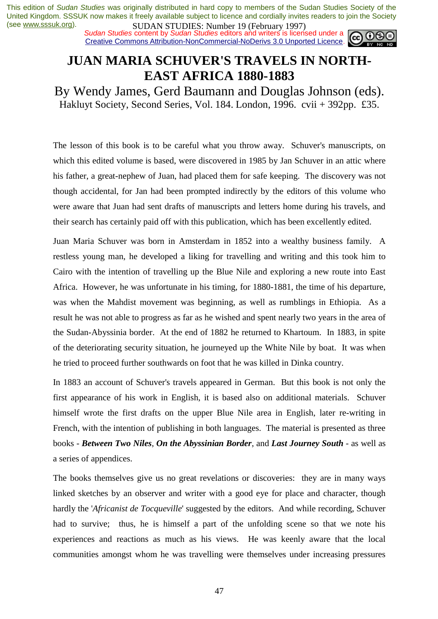*Sudan Studies content by Sudan Studies editors and writers is licensed under a* Creative Commons Attribution-NonCommercial-NoDerivs 3.0 Unported Licence.



# **JUAN MARIA SCHUVER'S TRAVELS IN NORTH-EAST AFRICA 1880-1883**

By Wendy James, Gerd Baumann and Douglas Johnson (eds). Hakluyt Society, Second Series, Vol. 184. London, 1996. cvii + 392pp. £35.

The lesson of this book is to be careful what you throw away. Schuver's manuscripts, on which this edited volume is based, were discovered in 1985 by Jan Schuver in an attic where his father, a great-nephew of Juan, had placed them for safe keeping. The discovery was not though accidental, for Jan had been prompted indirectly by the editors of this volume who were aware that Juan had sent drafts of manuscripts and letters home during his travels, and their search has certainly paid off with this publication, which has been excellently edited.

Juan Maria Schuver was born in Amsterdam in 1852 into a wealthy business family. A restless young man, he developed a liking for travelling and writing and this took him to Cairo with the intention of travelling up the Blue Nile and exploring a new route into East Africa. However, he was unfortunate in his timing, for 1880-1881, the time of his departure, was when the Mahdist movement was beginning, as well as rumblings in Ethiopia. As a result he was not able to progress as far as he wished and spent nearly two years in the area of the Sudan-Abyssinia border. At the end of 1882 he returned to Khartoum. In 1883, in spite of the deteriorating security situation, he journeyed up the White Nile by boat. It was when he tried to proceed further southwards on foot that he was killed in Dinka country.

In 1883 an account of Schuver's travels appeared in German. But this book is not only the first appearance of his work in English, it is based also on additional materials. Schuver himself wrote the first drafts on the upper Blue Nile area in English, later re-writing in French, with the intention of publishing in both languages. The material is presented as three books - *Between Two Niles*, *On the Abyssinian Border*, and *Last Journey South* - as well as a series of appendices.

The books themselves give us no great revelations or discoveries: they are in many ways linked sketches by an observer and writer with a good eye for place and character, though hardly the '*Africanist de Tocqueville*' suggested by the editors. And while recording, Schuver had to survive; thus, he is himself a part of the unfolding scene so that we note his experiences and reactions as much as his views. He was keenly aware that the local communities amongst whom he was travelling were themselves under increasing pressures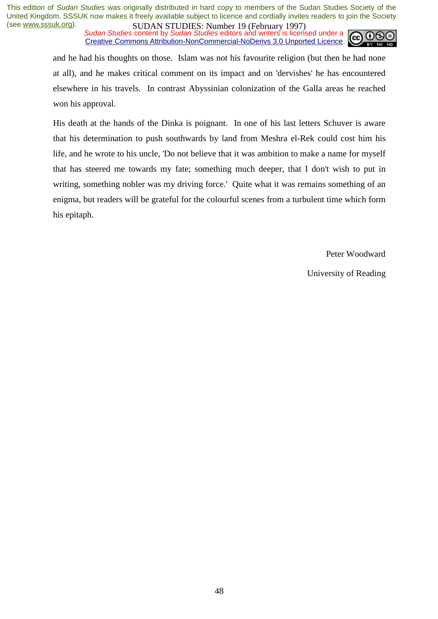*Sudan Studies content by Sudan Studies editors and writers is licensed under a* Creative Commons Attribution-NonCommercial-NoDerivs 3.0 Unported Licence.



and he had his thoughts on those. Islam was not his favourite religion (but then he had none at all), and he makes critical comment on its impact and on 'dervishes' he has encountered elsewhere in his travels. In contrast Abyssinian colonization of the Galla areas he reached won his approval.

His death at the hands of the Dinka is poignant. In one of his last letters Schuver is aware that his determination to push southwards by land from Meshra el-Rek could cost him his life, and he wrote to his uncle, 'Do not believe that it was ambition to make a name for myself that has steered me towards my fate; something much deeper, that I don't wish to put in writing, something nobler was my driving force.' Quite what it was remains something of an enigma, but readers will be grateful for the colourful scenes from a turbulent time which form his epitaph.

Peter Woodward

University of Reading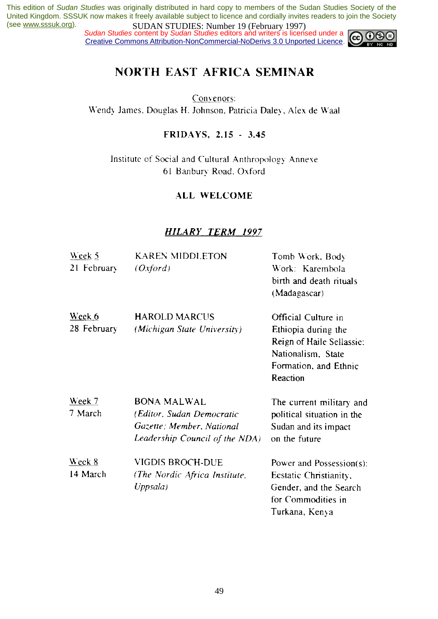*Sudan Studies content by Sudan Studies editors and writers is licensed under a* Creative Commons Attribution-NonCommercial-NoDerivs 3.0 Unported Licence.



# **NORTH EAST AFRICA SEMINAR**

Convenors: Wendy James, Douglas H. Johnson, Patricia Daley, Alex de Waal

# FRIDAYS, 2.15 - 3.45

Institute of Social and Cultural Anthropology Annexe 61 Banbury Road, Oxford

# **ALL WELCOME**

# **HILARY\_TERM 1997**

| Week 5        | <b>KAREN MIDDLETON</b>         | Tomb Work, Body            |
|---------------|--------------------------------|----------------------------|
| 21 February   | (Oxford)                       | Work: Karembola            |
|               |                                | birth and death rituals    |
|               |                                | (Madagascar)               |
| Week 6        | <b>HAROLD MARCUS</b>           | Official Culture in        |
| 28 February   | (Michigan State University)    | Ethiopia during the        |
|               |                                | Reign of Haile Sellassie:  |
|               |                                | Nationalism, State         |
|               |                                | Formation, and Ethnic      |
|               |                                | Reaction                   |
| Week $7$      | <b>BONA MALWAL</b>             | The current military and   |
| 7 March       | (Editor, Sudan Democratic      | political situation in the |
|               | Gazette; Member, National      | Sudan and its impact       |
|               | Leadership Council of the NDA) | on the future              |
| <u>Week 8</u> | VIGDIS BROCH-DUE               | Power and Possession(s):   |
| 14 March      | (The Nordic Africa Institute,  | Ecstatic Christianity,     |
|               | Uppsala)                       | Gender, and the Search     |
|               |                                | for Commodities in         |
|               |                                | Turkana, Kenva             |